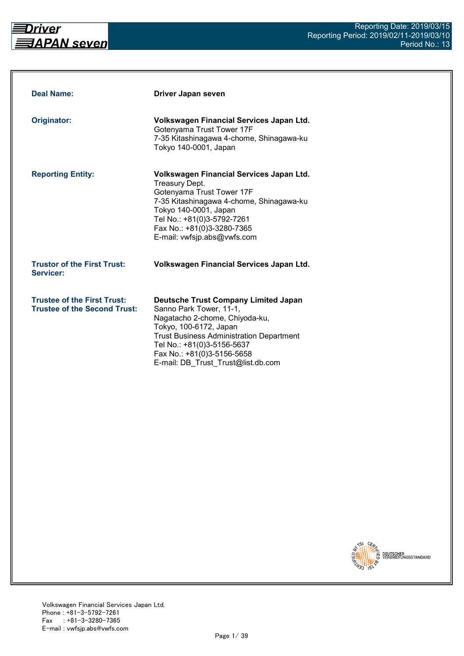

| <b>Deal Name:</b>                                                         | Driver Japan seven                                                                                                                                                                                                                                                                      |
|---------------------------------------------------------------------------|-----------------------------------------------------------------------------------------------------------------------------------------------------------------------------------------------------------------------------------------------------------------------------------------|
| Originator:                                                               | Volkswagen Financial Services Japan Ltd.<br>Gotenyama Trust Tower 17F<br>7-35 Kitashinagawa 4-chome, Shinagawa-ku<br>Tokyo 140-0001, Japan                                                                                                                                              |
| <b>Reporting Entity:</b>                                                  | Volkswagen Financial Services Japan Ltd.<br>Treasury Dept.<br>Gotenyama Trust Tower 17F<br>7-35 Kitashinagawa 4-chome, Shinagawa-ku<br>Tokyo 140-0001, Japan<br>Tel No.: +81(0)3-5792-7261<br>Fax No.: +81(0)3-3280-7365<br>E-mail: vwfsjp.abs@vwfs.com                                 |
| <b>Trustor of the First Trust:</b><br>Servicer:                           | Volkswagen Financial Services Japan Ltd.                                                                                                                                                                                                                                                |
| <b>Trustee of the First Trust:</b><br><b>Trustee of the Second Trust:</b> | <b>Deutsche Trust Company Limited Japan</b><br>Sanno Park Tower, 11-1,<br>Nagatacho 2-chome, Chiyoda-ku,<br>Tokyo, 100-6172, Japan<br><b>Trust Business Administration Department</b><br>Tel No.: +81(0)3-5156-5637<br>Fax No.: +81(0)3-5156-5658<br>E-mail: DB Trust Trust@list.db.com |

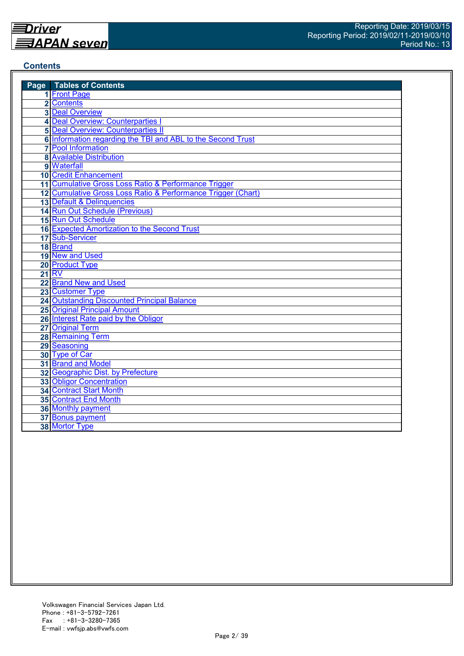## **Contents**

| <b>Page</b> Tables of Contents                               |
|--------------------------------------------------------------|
| 1 Front Page                                                 |
| 2 Contents                                                   |
| <b>3 Deal Overview</b>                                       |
| 4 Deal Overview: Counterparties I                            |
| <b>5 Deal Overview: Counterparties II</b>                    |
| 6 Information regarding the TBI and ABL to the Second Trust  |
| <b>7</b> Pool Information                                    |
| <b>8 Available Distribution</b>                              |
| 9 Waterfall                                                  |
| <b>10 Credit Enhancement</b>                                 |
| 11 Cumulative Gross Loss Ratio & Performance Trigger         |
| 12 Cumulative Gross Loss Ratio & Performance Trigger (Chart) |
| 13 Default & Delinquencies                                   |
| 14 Run Out Schedule (Previous)                               |
| 15 Run Out Schedule                                          |
| 16 Expected Amortization to the Second Trust                 |
| 17 Sub-Servicer                                              |
| 18 Brand                                                     |
| 19 New and Used                                              |
| 20 Product Type                                              |
| <b>21 RV</b>                                                 |
| 22 Brand New and Used                                        |
| 23 Customer Type                                             |
| 24 Outstanding Discounted Principal Balance                  |
| <b>25 Original Principal Amount</b>                          |
| 26 Interest Rate paid by the Obligor                         |
| 27 Original Term                                             |
| <b>28 Remaining Term</b>                                     |
| 29 Seasoning                                                 |
| 30 Type of Car                                               |
| 31 Brand and Model                                           |
| 32 Geographic Dist. by Prefecture                            |
| <b>33 Obligor Concentration</b>                              |
| <b>34 Contract Start Month</b>                               |
| 35 Contract End Month                                        |
| 36 Monthly payment                                           |
| 37 Bonus payment                                             |
| 38 Mortor Type                                               |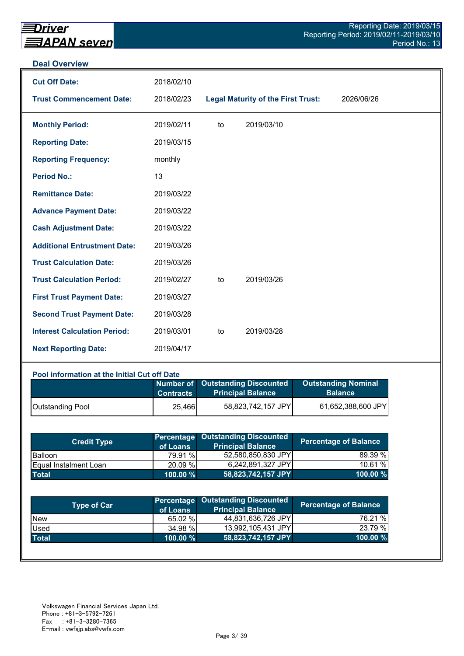#### **Deal Overview**

| <b>Cut Off Date:</b>                | 2018/02/10 |    |                                           |            |
|-------------------------------------|------------|----|-------------------------------------------|------------|
| <b>Trust Commencement Date:</b>     | 2018/02/23 |    | <b>Legal Maturity of the First Trust:</b> | 2026/06/26 |
| <b>Monthly Period:</b>              | 2019/02/11 | to | 2019/03/10                                |            |
| <b>Reporting Date:</b>              | 2019/03/15 |    |                                           |            |
| <b>Reporting Frequency:</b>         | monthly    |    |                                           |            |
| <b>Period No.:</b>                  | 13         |    |                                           |            |
| <b>Remittance Date:</b>             | 2019/03/22 |    |                                           |            |
| <b>Advance Payment Date:</b>        | 2019/03/22 |    |                                           |            |
| <b>Cash Adjustment Date:</b>        | 2019/03/22 |    |                                           |            |
| <b>Additional Entrustment Date:</b> | 2019/03/26 |    |                                           |            |
| <b>Trust Calculation Date:</b>      | 2019/03/26 |    |                                           |            |
| <b>Trust Calculation Period:</b>    | 2019/02/27 | to | 2019/03/26                                |            |
| <b>First Trust Payment Date:</b>    | 2019/03/27 |    |                                           |            |
| <b>Second Trust Payment Date:</b>   | 2019/03/28 |    |                                           |            |
| <b>Interest Calculation Period:</b> | 2019/03/01 | to | 2019/03/28                                |            |
| <b>Next Reporting Date:</b>         | 2019/04/17 |    |                                           |            |

## **Pool information at the Initial Cut off Date**

|                  | <b>Contracts</b> | Number of Outstanding Discounted<br><b>Principal Balance</b> | <b>Outstanding Nominal</b><br><b>Balance</b> |
|------------------|------------------|--------------------------------------------------------------|----------------------------------------------|
| Outstanding Pool | 25,466           | 58,823,742,157 JPY                                           | 61,652,388,600 JPY                           |

| <b>Credit Type</b>            | of Loans    | <b>Percentage Outstanding Discounted</b><br><b>Principal Balance</b> | <b>Percentage of Balance</b> |
|-------------------------------|-------------|----------------------------------------------------------------------|------------------------------|
| <b>Balloon</b>                | 79.91 %     | 52,580,850,830 JPY                                                   | 89.39 %                      |
| <b>IEqual Instalment Loan</b> | 20.09 %     | 6,242,891,327 JPY                                                    | 10.61%                       |
| <b>Total</b>                  | $100.00 \%$ | 58,823,742,157 JPY                                                   | $100.00 \%$                  |

| Type of Car  | of Loans    | <b>Percentage Outstanding Discounted</b><br><b>Principal Balance</b> | <b>Percentage of Balance</b> |
|--------------|-------------|----------------------------------------------------------------------|------------------------------|
| <b>New</b>   | 65.02 %     | 44,831,636,726 JPY                                                   | 76.21 %                      |
| Used         | 34.98 %     | 13,992,105,431 JPY                                                   | 23.79 %                      |
| <b>Total</b> | $100.00 \%$ | 58,823,742,157 JPY                                                   | 100.00 %                     |
|              |             |                                                                      |                              |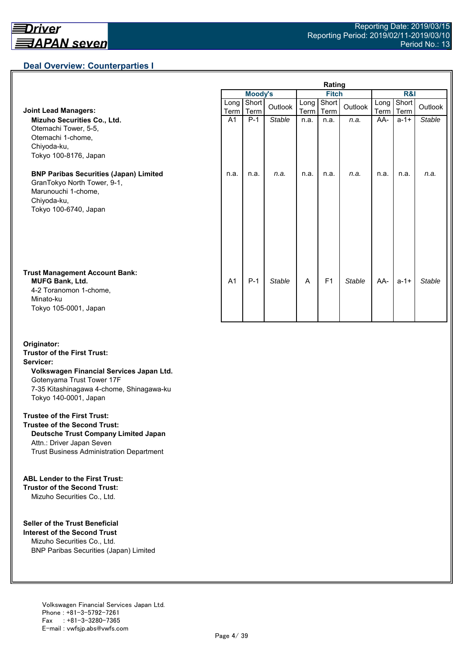## **Deal Overview: Counterparties I**

|                                                                                                                                             | Rating         |                |               |              |                |               |                     |               |               |
|---------------------------------------------------------------------------------------------------------------------------------------------|----------------|----------------|---------------|--------------|----------------|---------------|---------------------|---------------|---------------|
|                                                                                                                                             |                | <b>Moody's</b> |               | <b>Fitch</b> |                |               | <b>R&amp;I</b>      |               |               |
| <b>Joint Lead Managers:</b>                                                                                                                 | Long<br>Term   | Short<br>Term  | Outlook       | Long<br>Term | Short<br>Term  | Outlook       | Long<br><b>Term</b> | Short<br>Term | Outlook       |
| Mizuho Securities Co., Ltd.<br>Otemachi Tower, 5-5,<br>Otemachi 1-chome,<br>Chiyoda-ku,<br>Tokyo 100-8176, Japan                            | A <sub>1</sub> | $P-1$          | <b>Stable</b> | n.a.         | n.a.           | n.a.          | AA-                 | $a - 1 +$     | <b>Stable</b> |
| <b>BNP Paribas Securities (Japan) Limited</b><br>GranTokyo North Tower, 9-1,<br>Marunouchi 1-chome,<br>Chiyoda-ku,<br>Tokyo 100-6740, Japan | n.a.           | n.a.           | n.a.          | n.a.         | n.a.           | n.a.          | n.a.                | n.a.          | n.a.          |
| <b>Trust Management Account Bank:</b><br><b>MUFG Bank, Ltd.</b><br>4-2 Toranomon 1-chome,<br>Minato-ku<br>Tokyo 105-0001, Japan             | A <sub>1</sub> | $P-1$          | <b>Stable</b> | A            | F <sub>1</sub> | <b>Stable</b> | AA-                 | $a - 1 +$     | <b>Stable</b> |

#### **Originator: Trustor of the First Trust: Servicer: Volkswagen Financial Services Japan Ltd.** Gotenyama Trust Tower 17F 7-35 Kitashinagawa 4-chome, Shinagawa-ku Tokyo 140-0001, Japan

#### **Trustee of the First Trust:**

**Trustee of the Second Trust: Deutsche Trust Company Limited Japan** Attn.: Driver Japan Seven Trust Business Administration Department

#### **ABL Lender to the First Trust:**

**Trustor of the Second Trust:** Mizuho Securities Co., Ltd.

#### **Seller of the Trust Beneficial**

**Interest of the Second Trust** Mizuho Securities Co., Ltd. BNP Paribas Securities (Japan) Limited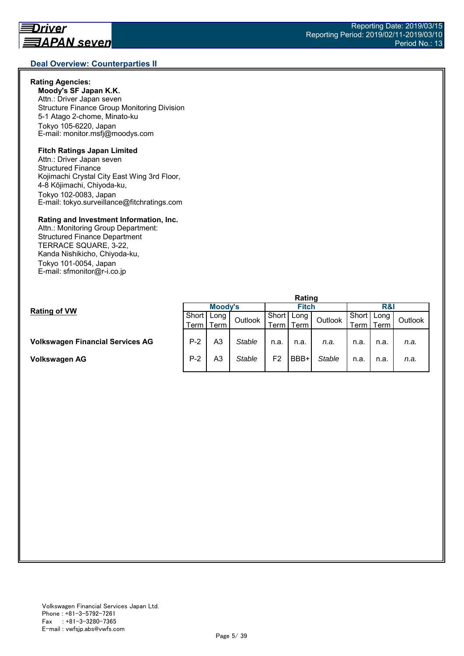## **Rating Agencies:**

**Moody's SF Japan K.K.** Attn.: Driver Japan seven Structure Finance Group Monitoring Division 5-1 Atago 2-chome, Minato-ku Tokyo 105-6220, Japan E-mail: monitor.msfj@moodys.com

## **Fitch Ratings Japan Limited**

Attn.: Driver Japan seven Structured Finance Kojimachi Crystal City East Wing 3rd Floor, 4-8 Kōjimachi, Chiyoda-ku, Tokyo 102-0083, Japan E-mail: tokyo.surveillance@fitchratings.com

#### **Rating and Investment Information, Inc.**

Attn.: Monitoring Group Department: Structured Finance Department TERRACE SQUARE, 3-22, Kanda Nishikicho, Chiyoda-ku, Tokyo 101-0054, Japan E-mail: sfmonitor@r-i.co.jp

|                                         | Rating  |             |         |              |      |               |                |      |         |  |
|-----------------------------------------|---------|-------------|---------|--------------|------|---------------|----------------|------|---------|--|
| <b>Rating of VW</b>                     | Moody's |             |         | <b>Fitch</b> |      |               | <b>R&amp;I</b> |      |         |  |
|                                         | Short I | Long        | Outlook | Short        | Long | Outlook       | Short          | Long | Outlook |  |
|                                         |         | Term I Term |         | Term .       | Term |               | Term           | Гerm |         |  |
|                                         |         |             |         |              |      |               |                |      |         |  |
| <b>Volkswagen Financial Services AG</b> | $P-2$   | A3          | Stable  | n.a.         | n.a. | n.a.          | n.a.           | n.a. | n.a.    |  |
|                                         |         |             |         |              |      |               |                |      |         |  |
| Volkswagen AG                           | $P-2$   | A3          | Stable  | F2           | BBB+ | <b>Stable</b> | n.a.           | n.a. | n.a.    |  |
|                                         |         |             |         |              |      |               |                |      |         |  |

#### Reporting Date: 2019/03/15 Reporting Period: 2019/02/11-2019/03/10 Period No.: 13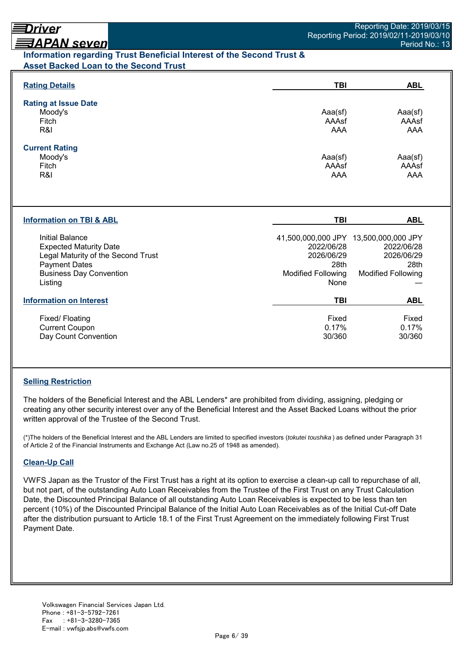## <u> ヨAPAN seven</u> **Information regarding Trust Beneficial Interest of the Second Trust & Asset Backed Loan to the Second Trust**

| <b>Rating Details</b>                                                                                                                                       | TBI                                                                                                            | <b>ABL</b>                                                    |
|-------------------------------------------------------------------------------------------------------------------------------------------------------------|----------------------------------------------------------------------------------------------------------------|---------------------------------------------------------------|
| <b>Rating at Issue Date</b><br>Moody's<br>Fitch<br>R&I                                                                                                      | Aaa(sf)<br>AAAsf<br>AAA                                                                                        | Aaa(sf)<br>AAAsf<br><b>AAA</b>                                |
| <b>Current Rating</b><br>Moody's<br>Fitch<br>R&I                                                                                                            | Aaa(sf)<br>AAAsf<br><b>AAA</b>                                                                                 | Aaa(sf)<br>AAAsf<br><b>AAA</b>                                |
| <b>Information on TBI &amp; ABL</b>                                                                                                                         | <b>TBI</b>                                                                                                     | <b>ABL</b>                                                    |
| Initial Balance<br><b>Expected Maturity Date</b><br>Legal Maturity of the Second Trust<br><b>Payment Dates</b><br><b>Business Day Convention</b><br>Listing | 41,500,000,000 JPY 13,500,000,000 JPY<br>2022/06/28<br>2026/06/29<br>28th<br><b>Modified Following</b><br>None | 2022/06/28<br>2026/06/29<br>28th<br><b>Modified Following</b> |
| <b>Information on Interest</b>                                                                                                                              | <b>TBI</b>                                                                                                     | <b>ABL</b>                                                    |
| Fixed/Floating<br><b>Current Coupon</b><br>Day Count Convention                                                                                             | Fixed<br>0.17%<br>30/360                                                                                       | Fixed<br>0.17%<br>30/360                                      |

## **Selling Restriction**

The holders of the Beneficial Interest and the ABL Lenders\* are prohibited from dividing, assigning, pledging or creating any other security interest over any of the Beneficial Interest and the Asset Backed Loans without the prior written approval of the Trustee of the Second Trust.

(\*)The holders of the Beneficial Interest and the ABL Lenders are limited to specified investors (*tokutei toushika* ) as defined under Paragraph 31 of Article 2 of the Financial Instruments and Exchange Act (Law no.25 of 1948 as amended).

## **Clean-Up Call**

VWFS Japan as the Trustor of the First Trust has a right at its option to exercise a clean-up call to repurchase of all, but not part, of the outstanding Auto Loan Receivables from the Trustee of the First Trust on any Trust Calculation Date, the Discounted Principal Balance of all outstanding Auto Loan Receivables is expected to be less than ten percent (10%) of the Discounted Principal Balance of the Initial Auto Loan Receivables as of the Initial Cut-off Date after the distribution pursuant to Article 18.1 of the First Trust Agreement on the immediately following First Trust Payment Date.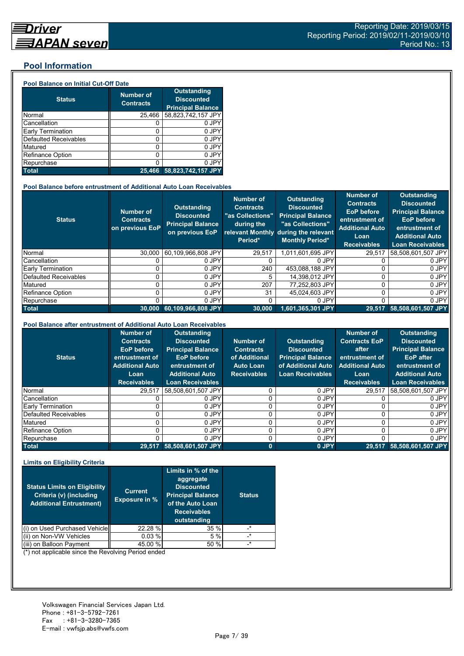## **Pool Information**

#### **Pool Balance on Initial Cut-Off Date**

| <b>Status</b>                | <b>Number of</b><br><b>Contracts</b> | <b>Outstanding</b><br><b>Discounted</b><br><b>Principal Balance</b> |
|------------------------------|--------------------------------------|---------------------------------------------------------------------|
| Normal                       | 25,466                               | 58,823,742,157 JPY                                                  |
| Cancellation                 |                                      | 0 JPY                                                               |
| Early Termination            | 0                                    | 0 JPY                                                               |
| <b>Defaulted Receivables</b> | 0                                    | 0 JPY                                                               |
| Matured                      | Ω                                    | 0 JPY                                                               |
| <b>Refinance Option</b>      | 0                                    | 0 JPY                                                               |
| Repurchase                   |                                      | 0 JPY                                                               |
| <b>Total</b>                 | 25.466                               | 58,823,742,157 JPY                                                  |

#### **Pool Balance before entrustment of Additional Auto Loan Receivables**

| <b>Status</b>            | <b>Number of</b><br><b>Contracts</b><br>on previous EoP | <b>Outstanding</b><br><b>Discounted</b><br><b>Principal Balance</b><br>on previous EoP | <b>Number of</b><br><b>Contracts</b><br>"as Collections"<br>during the<br>Period* | Outstanding<br><b>Discounted</b><br><b>Principal Balance</b><br>"as Collections"<br>relevant Monthly during the relevant<br><b>Monthly Period*</b> | <b>Number of</b><br><b>Contracts</b><br><b>EoP</b> before<br>entrustment of<br><b>Additional Auto</b><br>Loan<br><b>Receivables</b> | <b>Outstanding</b><br><b>Discounted</b><br><b>Principal Balance</b><br><b>EoP</b> before<br>entrustment of<br><b>Additional Auto</b><br><b>Loan Receivables</b> |
|--------------------------|---------------------------------------------------------|----------------------------------------------------------------------------------------|-----------------------------------------------------------------------------------|----------------------------------------------------------------------------------------------------------------------------------------------------|-------------------------------------------------------------------------------------------------------------------------------------|-----------------------------------------------------------------------------------------------------------------------------------------------------------------|
| Normal                   | 30.000                                                  | 60,109,966,808 JPY                                                                     | 29,517                                                                            | 1.011.601.695 JPY                                                                                                                                  | 29,517                                                                                                                              | 58,508,601,507 JPY                                                                                                                                              |
| Cancellation             |                                                         | 0 JPY                                                                                  |                                                                                   | 0 JPY                                                                                                                                              |                                                                                                                                     | 0 JPY                                                                                                                                                           |
| <b>Early Termination</b> |                                                         | 0 JPY                                                                                  | 240                                                                               | 453,088,188 JPY                                                                                                                                    |                                                                                                                                     | 0 JPY                                                                                                                                                           |
| Defaulted Receivables    |                                                         | 0 JPY                                                                                  | 5.                                                                                | 14.398.012 JPY                                                                                                                                     | 0                                                                                                                                   | 0 JPY                                                                                                                                                           |
| Matured                  |                                                         | 0 JPY                                                                                  | 207                                                                               | 77,252,803 JPY                                                                                                                                     | 0                                                                                                                                   | 0 JPY                                                                                                                                                           |
| <b>Refinance Option</b>  |                                                         | 0 JPY                                                                                  | 31                                                                                | 45.024.603 JPY                                                                                                                                     | U                                                                                                                                   | 0 JPY                                                                                                                                                           |
| Repurchase               |                                                         | 0 JPY                                                                                  | $\Omega$                                                                          | 0 JPY                                                                                                                                              | 0                                                                                                                                   | 0 JPY                                                                                                                                                           |
| <b>Total</b>             | 30.000                                                  | 60,109,966,808 JPY                                                                     | 30.000                                                                            | $1,601,365,301$ JPY                                                                                                                                | 29,517                                                                                                                              | $58,508,601,507$ JPY                                                                                                                                            |

#### **Pool Balance after entrustment of Additional Auto Loan Receivables**

| <b>Status</b>            | <b>Number of</b><br><b>Contracts</b><br><b>EoP</b> before<br>entrustment of<br><b>Additional Auto</b><br>Loan<br><b>Receivables</b> | <b>Outstanding</b><br><b>Discounted</b><br><b>Principal Balance</b><br><b>EoP</b> before<br>entrustment of<br><b>Additional Auto</b><br><b>Loan Receivables</b> | Number of<br><b>Contracts</b><br>of Additional<br><b>Auto Loan</b><br><b>Receivables</b> | <b>Outstanding</b><br><b>Discounted</b><br><b>Principal Balance</b><br>of Additional Auto<br><b>Loan Receivables</b> | <b>Number of</b><br><b>Contracts EoP</b><br>after<br>entrustment of<br><b>Additional Auto</b><br>Loan<br><b>Receivables</b> | <b>Outstanding</b><br><b>Discounted</b><br><b>Principal Balance</b><br><b>EoP</b> after<br>entrustment of<br><b>Additional Auto</b><br><b>Loan Receivables</b> |
|--------------------------|-------------------------------------------------------------------------------------------------------------------------------------|-----------------------------------------------------------------------------------------------------------------------------------------------------------------|------------------------------------------------------------------------------------------|----------------------------------------------------------------------------------------------------------------------|-----------------------------------------------------------------------------------------------------------------------------|----------------------------------------------------------------------------------------------------------------------------------------------------------------|
| Normal                   | 29.517                                                                                                                              | 58.508.601.507 JPY                                                                                                                                              |                                                                                          | 0 JPY                                                                                                                | 29.517                                                                                                                      | 58,508,601,507 JPY                                                                                                                                             |
| Cancellation             |                                                                                                                                     | 0 JPY                                                                                                                                                           |                                                                                          | 0 JPY                                                                                                                |                                                                                                                             | 0 JPY                                                                                                                                                          |
| <b>Early Termination</b> |                                                                                                                                     | 0 JPY                                                                                                                                                           |                                                                                          | 0 JPY                                                                                                                |                                                                                                                             | 0 JPY                                                                                                                                                          |
| Defaulted Receivables    |                                                                                                                                     | 0 JPY                                                                                                                                                           |                                                                                          | 0 JPY                                                                                                                |                                                                                                                             | 0 JPY                                                                                                                                                          |
| Matured                  |                                                                                                                                     | 0 JPY                                                                                                                                                           |                                                                                          | 0 JPY                                                                                                                | 0                                                                                                                           | 0 JPY                                                                                                                                                          |
| Refinance Option         |                                                                                                                                     | 0 JPY                                                                                                                                                           |                                                                                          | 0 JPY                                                                                                                | 0                                                                                                                           | 0 JPY                                                                                                                                                          |
| Repurchase               |                                                                                                                                     | 0 JPY                                                                                                                                                           |                                                                                          | 0 JPY                                                                                                                |                                                                                                                             | 0 JPY                                                                                                                                                          |
| <b>Total</b>             |                                                                                                                                     | 29,517 58,508,601,507 JPY                                                                                                                                       | $\bf{0}$                                                                                 | 0 JPY                                                                                                                |                                                                                                                             | 29,517 58,508,601,507 JPY                                                                                                                                      |

#### **Limits on Eligibility Criteria**

| <b>Status Limits on Eligibility</b><br>Criteria (v) (including<br><b>Additional Entrustment)</b> | <b>Current</b><br><b>Exposure in %</b> | Limits in % of the<br>aggregate<br><b>Discounted</b><br><b>Principal Balance</b><br>of the Auto Loan<br><b>Receivables</b><br>outstanding | <b>Status</b> |
|--------------------------------------------------------------------------------------------------|----------------------------------------|-------------------------------------------------------------------------------------------------------------------------------------------|---------------|
| on Used Purchased Vehicle                                                                        | 22.28 %                                | 35%                                                                                                                                       | $^\star$      |
| (ii) on Non-VW Vehicles                                                                          | 0.03%                                  | 5 %                                                                                                                                       | $\star$       |
| on Balloon Payment                                                                               | 45.00 %                                | 50 %                                                                                                                                      | $\star$       |

(\*) not applicable since the Revolving Period ended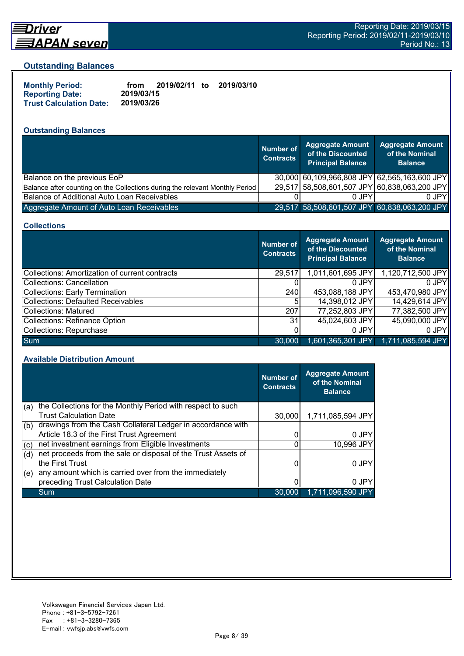

# Driver

#### **Outstanding Balances**

| <b>Monthly Period:</b>         | from       | 2019/02/11 to | 2019/03/10 |
|--------------------------------|------------|---------------|------------|
| <b>Reporting Date:</b>         | 2019/03/15 |               |            |
| <b>Trust Calculation Date:</b> | 2019/03/26 |               |            |

## **Outstanding Balances**

|                                                                              | <b>Number of</b><br><b>Contracts</b> | <b>Aggregate Amount</b><br>of the Discounted<br><b>Principal Balance</b> | <b>Aggregate Amount</b><br>of the Nominal<br><b>Balance</b> |
|------------------------------------------------------------------------------|--------------------------------------|--------------------------------------------------------------------------|-------------------------------------------------------------|
| Balance on the previous EoP                                                  |                                      |                                                                          | 30,000 60,109,966,808 JPY 62,565,163,600 JPY                |
| Balance after counting on the Collections during the relevant Monthly Period |                                      |                                                                          | 29,517 58,508,601,507 JPY 60,838,063,200 JPY                |
| Balance of Additional Auto Loan Receivables                                  |                                      | 0 JPY                                                                    | 0 JPY                                                       |
| Aggregate Amount of Auto Loan Receivables                                    |                                      |                                                                          | 29,517 58,508,601,507 JPY 60,838,063,200 JPY                |

#### **Collections**

|                                                | Number of<br><b>Contracts</b> | <b>Aggregate Amount</b><br>of the Discounted<br><b>Principal Balance</b> | <b>Aggregate Amount</b><br>of the Nominal<br><b>Balance</b> |
|------------------------------------------------|-------------------------------|--------------------------------------------------------------------------|-------------------------------------------------------------|
| Collections: Amortization of current contracts | 29,517                        | 1,011,601,695 JPY                                                        | 1,120,712,500 JPY                                           |
| Collections: Cancellation                      |                               | 0 JPY                                                                    | $0$ JPY                                                     |
| Collections: Early Termination                 | 240                           | 453,088,188 JPY                                                          | 453,470,980 JPY                                             |
| Collections: Defaulted Receivables             | 5                             | 14,398,012 JPY                                                           | 14,429,614 JPY                                              |
| Collections: Matured                           | 207                           | 77,252,803 JPY                                                           | 77,382,500 JPY                                              |
| Collections: Refinance Option                  | 31                            | 45,024,603 JPY                                                           | 45,090,000 JPY                                              |
| Collections: Repurchase                        |                               | 0 JPY                                                                    | 0 JPY                                                       |
| <b>Sum</b>                                     | 30,000                        | 1,601,365,301 JPY                                                        | 1,711,085,594 JPY                                           |

#### **Available Distribution Amount**

|     |                                                               | <b>Number of</b><br><b>Contracts</b> | <b>Aggregate Amount</b><br>of the Nominal<br><b>Balance</b> |
|-----|---------------------------------------------------------------|--------------------------------------|-------------------------------------------------------------|
| (a) | the Collections for the Monthly Period with respect to such   |                                      |                                                             |
|     | <b>Trust Calculation Date</b>                                 | 30,000                               | 1,711,085,594 JPY                                           |
| (b) | drawings from the Cash Collateral Ledger in accordance with   |                                      |                                                             |
|     | Article 18.3 of the First Trust Agreement                     | 0                                    | 0 JPY                                                       |
| (c) | net investment earnings from Eligible Investments             | 0                                    | 10,996 JPY                                                  |
| (d) | net proceeds from the sale or disposal of the Trust Assets of |                                      |                                                             |
|     | the First Trust                                               |                                      | 0 JPY                                                       |
| (e) | any amount which is carried over from the immediately         |                                      |                                                             |
|     | preceding Trust Calculation Date                              |                                      | 0 JPY                                                       |
|     | Sum                                                           | 30,000                               | 1,711,096,590 JPY                                           |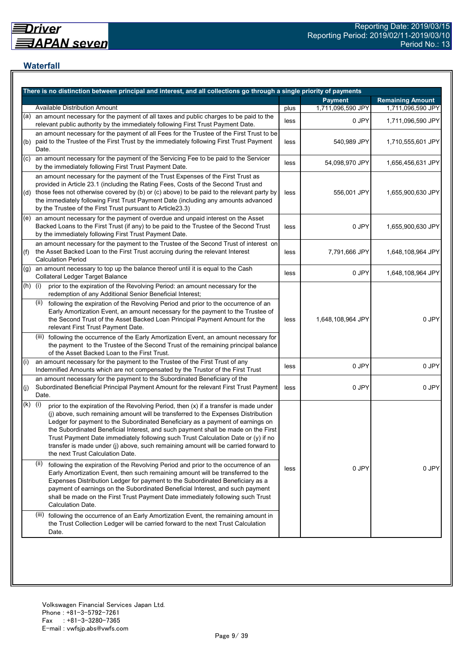## **Waterfall**

|           | There is no distinction between principal and interest, and all collections go through a single priority of payments                                                                                                                                                                                                                                                                                                                                                                                                                                                    |      |                   |                         |
|-----------|-------------------------------------------------------------------------------------------------------------------------------------------------------------------------------------------------------------------------------------------------------------------------------------------------------------------------------------------------------------------------------------------------------------------------------------------------------------------------------------------------------------------------------------------------------------------------|------|-------------------|-------------------------|
|           |                                                                                                                                                                                                                                                                                                                                                                                                                                                                                                                                                                         |      | <b>Payment</b>    | <b>Remaining Amount</b> |
|           | <b>Available Distribution Amount</b>                                                                                                                                                                                                                                                                                                                                                                                                                                                                                                                                    | plus | 1,711,096,590 JPY | 1,711,096,590 JPY       |
| (a)       | an amount necessary for the payment of all taxes and public charges to be paid to the<br>relevant public authority by the immediately following First Trust Payment Date.                                                                                                                                                                                                                                                                                                                                                                                               | less | 0 JPY             | 1,711,096,590 JPY       |
| (b)       | an amount necessary for the payment of all Fees for the Trustee of the First Trust to be<br>paid to the Trustee of the First Trust by the immediately following First Trust Payment<br>Date.                                                                                                                                                                                                                                                                                                                                                                            | less | 540,989 JPY       | 1,710,555,601 JPY       |
| (C)       | an amount necessary for the payment of the Servicing Fee to be paid to the Servicer<br>by the immediately following First Trust Payment Date.                                                                                                                                                                                                                                                                                                                                                                                                                           | less | 54,098,970 JPY    | 1,656,456,631 JPY       |
|           | an amount necessary for the payment of the Trust Expenses of the First Trust as<br>provided in Article 23.1 (including the Rating Fees, Costs of the Second Trust and<br>(d) those fees not otherwise covered by (b) or (c) above) to be paid to the relevant party by<br>the immediately following First Trust Payment Date (including any amounts advanced<br>by the Trustee of the First Trust pursuant to Article23.3)                                                                                                                                              | less | 556,001 JPY       | 1,655,900,630 JPY       |
|           | $(e)$ an amount necessary for the payment of overdue and unpaid interest on the Asset<br>Backed Loans to the First Trust (if any) to be paid to the Trustee of the Second Trust<br>by the immediately following First Trust Payment Date.                                                                                                                                                                                                                                                                                                                               | less | 0 JPY             | 1,655,900,630 JPY       |
| (f)       | an amount necessary for the payment to the Trustee of the Second Trust of interest on<br>the Asset Backed Loan to the First Trust accruing during the relevant Interest<br><b>Calculation Period</b>                                                                                                                                                                                                                                                                                                                                                                    | less | 7,791,666 JPY     | 1,648,108,964 JPY       |
| (g)       | an amount necessary to top up the balance thereof until it is equal to the Cash<br><b>Collateral Ledger Target Balance</b>                                                                                                                                                                                                                                                                                                                                                                                                                                              | less | 0 JPY             | 1,648,108,964 JPY       |
| $(h)$ (i) | prior to the expiration of the Revolving Period: an amount necessary for the<br>redemption of any Additional Senior Beneficial Interest;                                                                                                                                                                                                                                                                                                                                                                                                                                |      |                   |                         |
|           | following the expiration of the Revolving Period and prior to the occurrence of an<br>(ii)<br>Early Amortization Event, an amount necessary for the payment to the Trustee of<br>the Second Trust of the Asset Backed Loan Principal Payment Amount for the<br>relevant First Trust Payment Date.                                                                                                                                                                                                                                                                       | less | 1,648,108,964 JPY | 0 JPY                   |
|           | (iii) following the occurrence of the Early Amortization Event, an amount necessary for<br>the payment to the Trustee of the Second Trust of the remaining principal balance<br>of the Asset Backed Loan to the First Trust.                                                                                                                                                                                                                                                                                                                                            |      |                   |                         |
| (i)       | an amount necessary for the payment to the Trustee of the First Trust of any<br>Indemnified Amounts which are not compensated by the Trustor of the First Trust                                                                                                                                                                                                                                                                                                                                                                                                         | less | 0 JPY             | 0 JPY                   |
| (j)       | an amount necessary for the payment to the Subordinated Beneficiary of the<br>Subordinated Beneficial Principal Payment Amount for the relevant First Trust Payment<br>Date.                                                                                                                                                                                                                                                                                                                                                                                            | less | 0 JPY             | 0 JPY                   |
| (k)       | (i)<br>prior to the expiration of the Revolving Period, then (x) if a transfer is made under<br>(j) above, such remaining amount will be transferred to the Expenses Distribution<br>Ledger for payment to the Subordinated Beneficiary as a payment of earnings on<br>the Subordinated Beneficial Interest, and such payment shall be made on the First<br>Trust Payment Date immediately following such Trust Calculation Date or (y) if no<br>transfer is made under (j) above, such remaining amount will be carried forward to<br>the next Trust Calculation Date. |      |                   |                         |
|           | (ii)<br>following the expiration of the Revolving Period and prior to the occurrence of an<br>Early Amortization Event, then such remaining amount will be transferred to the<br>Expenses Distribution Ledger for payment to the Subordinated Beneficiary as a<br>payment of earnings on the Subordinated Beneficial Interest, and such payment<br>shall be made on the First Trust Payment Date immediately following such Trust<br><b>Calculation Date.</b>                                                                                                           | less | 0 JPY             | 0 JPY                   |
|           | (iii) following the occurrence of an Early Amortization Event, the remaining amount in<br>the Trust Collection Ledger will be carried forward to the next Trust Calculation<br>Date.                                                                                                                                                                                                                                                                                                                                                                                    |      |                   |                         |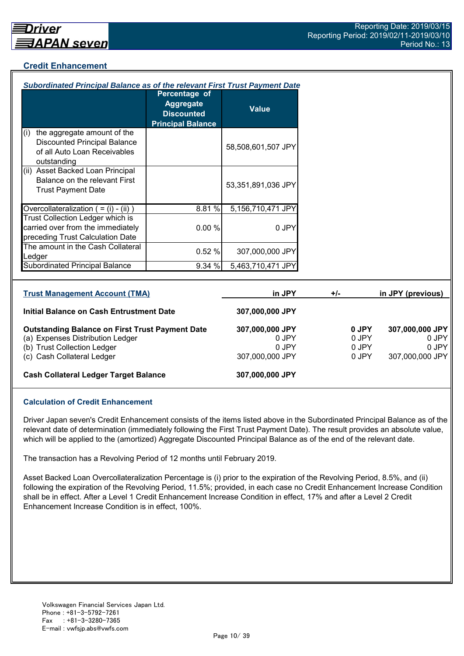## **Credit Enhancement**

| Subordinated Principal Balance as of the relevant First Trust Payment Date                                                |                                                                                    |                                   |       |                         |                                   |
|---------------------------------------------------------------------------------------------------------------------------|------------------------------------------------------------------------------------|-----------------------------------|-------|-------------------------|-----------------------------------|
|                                                                                                                           | Percentage of<br><b>Aggregate</b><br><b>Discounted</b><br><b>Principal Balance</b> | <b>Value</b>                      |       |                         |                                   |
| the aggregate amount of the<br>(i)<br><b>Discounted Principal Balance</b><br>of all Auto Loan Receivables<br>outstanding  |                                                                                    | 58,508,601,507 JPY                |       |                         |                                   |
| (ii) Asset Backed Loan Principal<br>Balance on the relevant First<br><b>Trust Payment Date</b>                            |                                                                                    | 53,351,891,036 JPY                |       |                         |                                   |
| Overcollateralization $( = (i) - (ii))$                                                                                   | 8.81 %                                                                             | 5,156,710,471 JPY                 |       |                         |                                   |
| Trust Collection Ledger which is<br>carried over from the immediately<br>preceding Trust Calculation Date                 | 0.00%                                                                              | 0 JPY                             |       |                         |                                   |
| The amount in the Cash Collateral<br>Ledger                                                                               | 0.52%                                                                              | 307,000,000 JPY                   |       |                         |                                   |
| <b>Subordinated Principal Balance</b>                                                                                     | 9.34 %                                                                             | 5,463,710,471 JPY                 |       |                         |                                   |
|                                                                                                                           |                                                                                    |                                   |       |                         |                                   |
| <b>Trust Management Account (TMA)</b>                                                                                     |                                                                                    | in JPY                            | $+/-$ |                         | in JPY (previous)                 |
| <b>Initial Balance on Cash Entrustment Date</b>                                                                           |                                                                                    | 307,000,000 JPY                   |       |                         |                                   |
| <b>Outstanding Balance on First Trust Payment Date</b><br>(a) Expenses Distribution Ledger<br>(b) Trust Collection Ledger |                                                                                    | 307,000,000 JPY<br>0 JPY<br>0 JPY |       | 0 JPY<br>0 JPY<br>0 JPY | 307,000,000 JPY<br>0 JPY<br>0 JPY |

(c) Cash Collateral Ledger 307,000,000 JPY 307,000,000 JPY 307,000,000 JPY

#### **Cash Collateral Ledger Target Balance 307,000,000 JPY**

#### **Calculation of Credit Enhancement**

Driver Japan seven's Credit Enhancement consists of the items listed above in the Subordinated Principal Balance as of the relevant date of determination (immediately following the First Trust Payment Date). The result provides an absolute value, which will be applied to the (amortized) Aggregate Discounted Principal Balance as of the end of the relevant date.

The transaction has a Revolving Period of 12 months until February 2019.

Asset Backed Loan Overcollateralization Percentage is (i) prior to the expiration of the Revolving Period, 8.5%, and (ii) following the expiration of the Revolving Period, 11.5%; provided, in each case no Credit Enhancement Increase Condition shall be in effect. After a Level 1 Credit Enhancement Increase Condition in effect, 17% and after a Level 2 Credit Enhancement Increase Condition is in effect, 100%.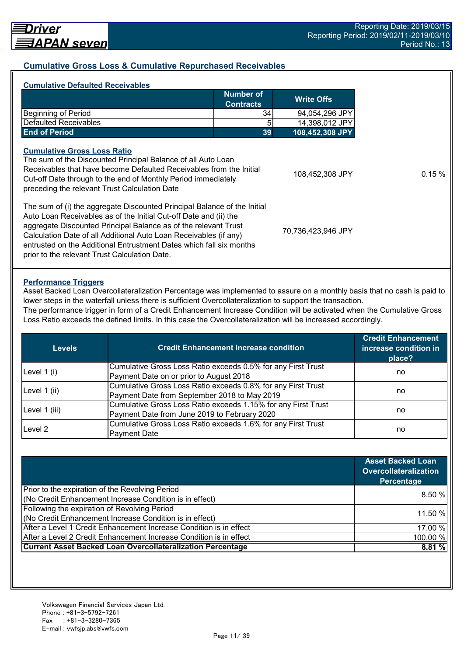## **Cumulative Gross Loss & Cumulative Repurchased Receivables**

| <b>Number of</b><br><b>Contracts</b>                                                                                                                                                                                                                                                                                                                         |    | <b>Write Offs</b>  |
|--------------------------------------------------------------------------------------------------------------------------------------------------------------------------------------------------------------------------------------------------------------------------------------------------------------------------------------------------------------|----|--------------------|
| <b>Beginning of Period</b>                                                                                                                                                                                                                                                                                                                                   | 34 | 94,054,296 JPY     |
| Defaulted Receivables                                                                                                                                                                                                                                                                                                                                        | 5  | 14,398,012 JPY     |
| <b>End of Period</b>                                                                                                                                                                                                                                                                                                                                         | 39 | 108,452,308 JPY    |
| The sum of the Discounted Principal Balance of all Auto Loan<br>Receivables that have become Defaulted Receivables from the Initial<br>Cut-off Date through to the end of Monthly Period immediately<br>preceding the relevant Trust Calculation Date                                                                                                        |    | 108,452,308 JPY    |
| The sum of (i) the aggregate Discounted Principal Balance of the Initial<br>Auto Loan Receivables as of the Initial Cut-off Date and (ii) the<br>aggregate Discounted Principal Balance as of the relevant Trust<br>Calculation Date of all Additional Auto Loan Receivables (if any)<br>entrusted on the Additional Entrustment Dates which fall six months |    | 70,736,423,946 JPY |

#### **Performance Triggers**

Asset Backed Loan Overcollateralization Percentage was implemented to assure on a monthly basis that no cash is paid to lower steps in the waterfall unless there is sufficient Overcollateralization to support the transaction.

The performance trigger in form of a Credit Enhancement Increase Condition will be activated when the Cumulative Gross Loss Ratio exceeds the defined limits. In this case the Overcollateralization will be increased accordingly.

| <b>Levels</b> | <b>Credit Enhancement increase condition</b>                  | <b>Credit Enhancement</b><br>increase condition in<br>place? |  |
|---------------|---------------------------------------------------------------|--------------------------------------------------------------|--|
| Level $1(i)$  | Cumulative Gross Loss Ratio exceeds 0.5% for any First Trust  |                                                              |  |
|               | Payment Date on or prior to August 2018                       | no                                                           |  |
|               | Cumulative Gross Loss Ratio exceeds 0.8% for any First Trust  |                                                              |  |
| Level 1 (ii)  | Payment Date from September 2018 to May 2019                  | no                                                           |  |
|               | Cumulative Gross Loss Ratio exceeds 1.15% for any First Trust |                                                              |  |
| Level 1 (iii) | Payment Date from June 2019 to February 2020                  | no                                                           |  |
| Level 2       | Cumulative Gross Loss Ratio exceeds 1.6% for any First Trust  |                                                              |  |
|               | <b>Payment Date</b>                                           | no                                                           |  |

|                                                                    | <b>Asset Backed Loan</b><br><b>Overcollateralization</b><br>Percentage |
|--------------------------------------------------------------------|------------------------------------------------------------------------|
| Prior to the expiration of the Revolving Period                    | 8.50%                                                                  |
| (No Credit Enhancement Increase Condition is in effect)            |                                                                        |
| Following the expiration of Revolving Period                       | 11.50 %                                                                |
| (No Credit Enhancement Increase Condition is in effect)            |                                                                        |
| After a Level 1 Credit Enhancement Increase Condition is in effect | 17.00 %                                                                |
| After a Level 2 Credit Enhancement Increase Condition is in effect | 100.00 %                                                               |
| <b>Current Asset Backed Loan Overcollateralization Percentage</b>  | 8.81%                                                                  |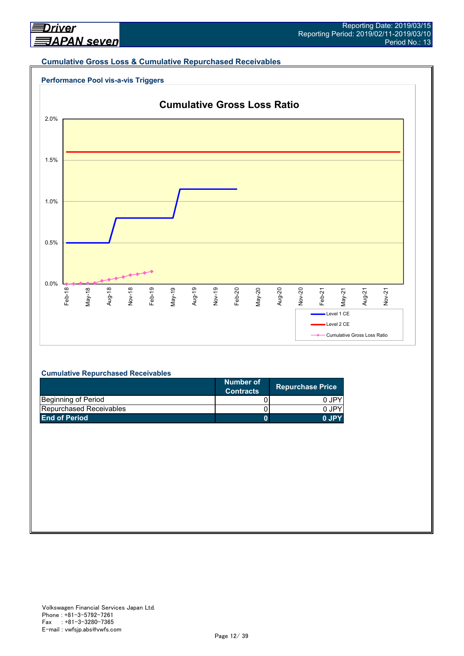#### **Cumulative Gross Loss & Cumulative Repurchased Receivables**





#### **Cumulative Repurchased Receivables**

|                                | Number of<br><b>Contracts</b> | <b>Repurchase Price</b> |
|--------------------------------|-------------------------------|-------------------------|
| Beginning of Period            |                               | 0 JPY                   |
| <b>Repurchased Receivables</b> |                               | 0 JPY                   |
| <b>End of Period</b>           |                               | 0.IPY                   |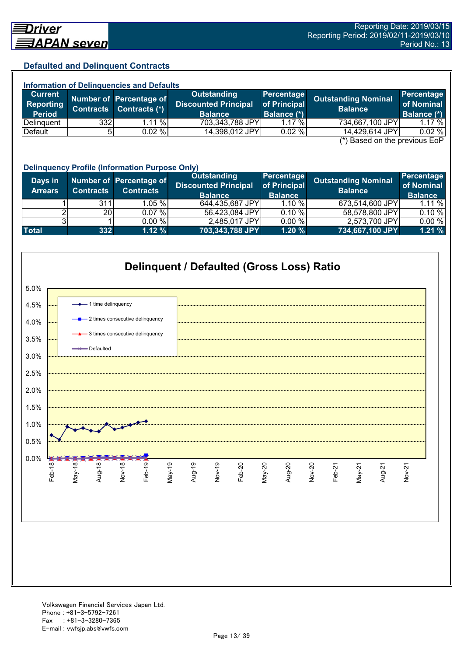## **Defaulted and Delinquent Contracts**

| <b>Information of Delinquencies and Defaults</b> |                  |                         |                                                   |                            |                                               |                                 |  |
|--------------------------------------------------|------------------|-------------------------|---------------------------------------------------|----------------------------|-----------------------------------------------|---------------------------------|--|
| <b>Current</b><br>Reporting                      |                  | Number of Percentage of | <b>Outstanding</b><br><b>Discounted Principal</b> | Percentage<br>of Principal | <b>Outstanding Nominal</b>                    | <b>Percentage</b><br>of Nominal |  |
| <b>Period</b>                                    | <b>Contracts</b> | Contracts (*)           | <b>Balance</b>                                    | Balance (*)                | <b>Balance</b>                                | Balance (*)                     |  |
| Delinguent                                       | 332              | $1.11\%$                | 703,343,788 JPY                                   | $1.17 \%$                  | 734,667,100 JPY                               | $1.17 \%$                       |  |
| Default                                          | 51               | $0.02 \%$               | 14,398,012 JPY                                    | 0.02%                      | 14,429,614 JPY                                | 0.02%                           |  |
|                                                  |                  |                         |                                                   |                            | $(*)$ Bosed on the provisue $\Gamma_2 \Gamma$ |                                 |  |

(\*) Based on the previous EoP

|                           | <b>Delinquency Profile (Information Purpose Only)</b> |                                             |                                                              |                                              |                                       |                                            |  |
|---------------------------|-------------------------------------------------------|---------------------------------------------|--------------------------------------------------------------|----------------------------------------------|---------------------------------------|--------------------------------------------|--|
| Days in<br><b>Arrears</b> | <b>Contracts</b>                                      | Number of Percentage of<br><b>Contracts</b> | Outstanding<br><b>Discounted Principal</b><br><b>Balance</b> | Percentage<br>of Principal<br><b>Balance</b> | Outstanding Nominal<br><b>Balance</b> | Percentage<br>of Nominal<br><b>Balance</b> |  |
|                           | 311                                                   | $1.05\%$                                    | 644,435,687 JPY                                              | 1.10%                                        | 673,514,600 JPY                       | 1.11%                                      |  |
|                           | 20 <sub>l</sub>                                       | 0.07%                                       | 56,423,084 JPY                                               | 0.10%                                        | 58,578,800 JPY                        | 0.10%                                      |  |
|                           |                                                       | $0.00 \%$                                   | 2,485,017 JPY                                                | 0.00%                                        | 2,573,700 JPY                         | 0.00%                                      |  |
| <b>Total</b>              | 332                                                   | 1.12%                                       | 703,343,788 JPY                                              | 1.20%                                        | 734,667,100 JPY                       | 1.21%                                      |  |

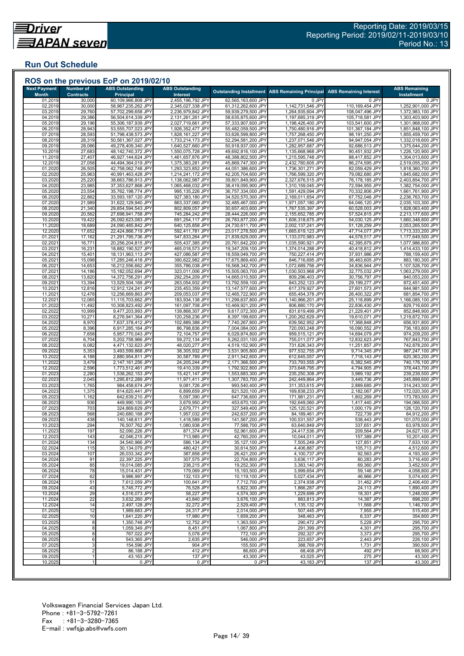## **Run Out Schedule**

| <b>Next Payment</b>     | Number of                  | <b>ABS Outstanding</b>                   | <b>ABS Outstanding</b>                 |                                          | Outstanding Installment ABS Remaining Principal | <b>ABS Remaining Interest</b>      | <b>ABS Remaining</b>                   |
|-------------------------|----------------------------|------------------------------------------|----------------------------------------|------------------------------------------|-------------------------------------------------|------------------------------------|----------------------------------------|
| <b>Month</b><br>01.2019 | <b>Contracts</b><br>30,000 | <b>Principal</b><br>60,109,966,808 JPY   | Interest<br>2,455,196,792 JPY          | 62,565,163,600 JPY                       | 0 JPY                                           | 0 JPY                              | <b>Installment</b><br>0 JPY            |
| 02.2019                 | 30,000                     | 58,967,235,262 JPY                       | 2,345,027,338 JPY                      | 61,312,262,600 JPY                       | 1,142,731,546 JPY                               | 110,169,454 JPY                    | 1,252,901,000 JPY                      |
| 03.2019                 | 29,760                     | 57,702,299,658 JPY                       | 2,236,979,842 JPY                      | 59,939,279,500 JPY                       | 1,264,935,604 JPY                               | 108,047,496 JPY                    | 1,372,983,100 JPY                      |
| 04.2019                 | 29,386                     | 56,504,614,339 JPY                       | 2,131,261,261 JPY                      | 58,635,875,600 JPY                       | 1,197,685,319 JPY                               | 105,718,581 JPY                    | 1,303,403,900 JPY                      |
| 05.2019<br>06.2019      | 29,196<br>28,943           | 55,306,187,939 JPY<br>53,555,707,023 JPY | 2,027,719,661 JPY<br>1,926,352,477 JPY | 57,333,907,600 JPY<br>55,482,059,500 JPY | 1,198,426,400 JPY<br>1,750,480,916 JPY          | 103,541,600 JPY<br>101,367,184 JPY | 1,301,968,000 JPY<br>1,851,848,100 JPY |
| 07.2019                 | 28,593                     | 51,798,438,573 JPY                       | 1,828,161,227 JPY                      | 53,626,599,800 JPY                       | 1,757,268,450 JPY                               | 98,191,250 JPY                     | 1,855,459,700 JPY                      |
| 08.2019                 | 28,319                     | 50,561,367,027 JPY                       | 1,733,214,173 JPY                      | 52,294,581,200 JPY                       | 1,237,071,546 JPY                               | 94,947,054 JPY                     | 1,332,018,600 JPY                      |
| 09.2019                 | 28,086                     | 49,278,409,340 JPY                       | 1,640,527,660 JPY                      | 50,918,937,000 JPY                       | 1,282,957,687 JPY                               | 92,686,513 JPY                     | 1,375,644,200 JPY                      |
| 10.2019<br>11.2019      | 27,683<br>27,407           | 48,142,740,372 JPY<br>46,927,144,624 JPY | 1,550,075,728 JPY<br>1,461,657,876 JPY | 49,692,816,100 JPY<br>48,388,802,500 JPY | 1,135,668,968 JPY<br>1,215,595,748 JPY          | 90,451,932 JPY<br>88,417,852 JPY   | 1,226,120,900 JPY<br>1,304,013,600 JPY |
| 12.2019                 | 27,058                     | 44,494,364,019 JPY                       | 1,375,383,281 JPY                      | 45,869,747,300 JPY                       | 2,432,780,605 JPY                               | 86,274,595 JPY                     | 2,519,055,200 JPY                      |
| 01.2020                 | 26,505                     | 42,758,062,748 JPY                       | 1,293,323,852 JPY                      | 44,051,386,600 JPY                       | 1,736,301,271 JPY                               | 82,059,429 JPY                     | 1,818,360,700 JPY                      |
| 02.2020                 | 25,963                     | 40,991,463,428 JPY                       | 1,214,241,172 JPY                      | 42,205,704,600 JPY                       | 1,766,599,320 JPY                               | 79,082,680 JPY                     | 1,845,682,000 JPY                      |
| 03.2020<br>04.2020      | 25,220<br>23,985           | 38,663,786,913 JPY<br>37,353,627,868 JPY | 1,138,062,987 JPY<br>1,065,468,032 JPY | 39,801,849,900 JPY<br>38,419,095,900 JPY | 2,327,676,515 JPY<br>1,310,159,045 JPY          | 76,178,185 JPY<br>72,594,955 JPY   | 2,403,854,700 JPY<br>1,382,754,000 JPY |
| 05.2020                 | 23,554                     | 35,762,198,774 JPY                       | 995,135,226 JPY                        | 36,757,334,000 JPY                       | 1,591,429,094 JPY                               | 70,332,806 JPY                     | 1,661,761,900 JPY                      |
| 06.2020                 | 22,862                     | 33,593,187,120 JPY                       | 927,383,180 JPY                        | 34,520,570,300 JPY                       | 2,169,011,654 JPY                               | 67,752,046 JPY                     | 2,236,763,700 JPY                      |
| 07.2020                 | 21,989                     | 31,622,129,940 JPY                       | 863,337,060 JPY                        | 32,485,467,000 JPY                       | 1,971,057,180 JPY                               | 64,046,120 JPY                     | 2,035,103,300 JPY                      |
| 08.2020                 | 21,340                     | 29,854,594,543 JPY                       | 802,809,057 JPY                        | 30,657,403,600 JPY                       | 1,767,535,397 JPY                               | 60,528,003 JPY                     | 1,828,063,400 JPY                      |
| 09.2020<br>10.2020      | 20,562<br>19,422           | 27,698,941,758 JPY<br>26,092,623,083 JPY | 745,284,242 JPY<br>691,254,117 JPY     | 28,444,226,000 JPY<br>26,783,877,200 JPY | 2,155,652,785 JPY<br>1,606,318,675 JPY          | 57,524,815 JPY<br>54,030,125 JPY   | 2,213,177,600 JPY<br>1,660,348,800 JPY |
| 11.2020                 | 18,689                     | 24,090,485,842 JPY                       | 640,125,858 JPY                        | 24,730,611,700 JPY                       | 2,002,137,241 JPY                               | 51,128,259 JPY                     | 2,053,265,500 JPY                      |
| 12.2020                 | 17,652                     | 22,424,866,719 JPY                       | 592,411,781 JPY                        | 23,017,278,500 JPY                       | 1,665,619,123 JPY                               | 47,714,077 JPY                     | 1,713,333,200 JPY                      |
| 01.202                  | 17,162                     | 21,291,795,736 JPY                       | 547,833,264 JPY                        | 21,839,629,000 JPY                       | 1,133,070,983 JPY                               | 44,578,517 JPY                     | 1,177,649,500 JPY                      |
| 02.2021                 | 16,771                     | 20,256,204,815 JPY                       | 505,437,385 JPY                        | 20,761,642,200 JPY                       | 1,035,590,921 JPY                               | 42,395,879 JPY                     | 1,077,986,800 JPY                      |
| 03.202<br>04.2021       | 16,231<br>15,401           | 18,882,190,527 JPY<br>18,131,963,113 JPY | 465,018,573 JPY<br>427,086,587 JPY     | 19,347,209,100 JPY<br>18,559,049,700 JPY | 1,374,014,288 JPY<br>750,227,414 JPY            | 40,418,812 JPY<br>37,931,986 JPY   | 1,414,433,100 JPY<br>788,159,400 JPY   |
| 05.202                  | 15,098                     | 17,285,246,418 JPY                       | 390,622,982 JPY                        | 17,675,869,400 JPY                       | 846,716,695 JPY                                 | 36,463,605 JPY                     | 883,180,300 JPY                        |
| 06.2021                 | 14,653                     | 16,212,556,662 JPY                       | 355,786,038 JPY                        | 16,568,342,700 JPY                       | 1,072,689,756 JPY                               | 34,836,944 JPY                     | 1,107,526,700 JPY                      |
| 07.2021                 | 14,186                     | 15,182,052,694 JPY                       | 323,011,006 JPY                        | 15,505,063,700 JPY                       | 1,030,503,968 JPY                               | 32,775,032 JPY                     | 1,063,279,000 JPY                      |
| 08.202<br>09.2021       | 13,820<br>13,394           | 14,372,756,291 JPY<br>13,529,504,168 JPY | 292,254,209 JPY<br>263,054,932 JPY     | 14,665,010,500 JPY<br>13,792,559,100 JPY | 809,296,403 JPY<br>843,252,123 JPY              | 30,756,797 JPY<br>29,199,277 JPY   | 840,053,200 JPY<br>872,451,400 JPY     |
| 10.202                  | 12,816                     | 12,912,124,241 JPY                       | 235,453,359 JPY                        | 13,147,577,600 JPY                       | 617,379,927 JPY                                 | 27,601,573 JPY                     | 644,981,500 JPY                        |
| 11.202                  | 12,478                     | 12,256,669,863 JPY                       | 209,053,037 JPY                        | 12,465,722,900 JPY                       | 655,454,378 JPY                                 | 26,400,322 JPY                     | 681,854,700 JPY                        |
| 12.202                  | 12,065                     | 11,115,703,662 JPY                       | 183,934,138 JPY                        | 11,299,637,800 JPY                       | 1,140,966,201 JPY                               | 25,118,899 JPY                     | 1,166,085,100 JPY                      |
| 01.2022                 | 11,492                     | 10,308,823,492 JPY                       | 161,097,708 JPY                        | 10,469,921,200 JPY                       | 806,880,170 JPY                                 | 22,836,430 JPY                     | 829,716,600 JPY                        |
| 02.2022<br>03.202       | 10,999<br>10,271           | 9,477,203,993 JPY<br>8,276,941,364 JPY   | 139,868,307 JPY<br>120,258,236 JPY     | 9,617,072,300 JPY<br>8,397,199,600 JPY   | 831,619,499 JPY<br>1,200,262,629 JPY            | 21,229,401 JPY<br>19,610,071 JPY   | 852,848,900 JPY<br>1,219,872,700 JPY   |
| 04.202                  | 8,970                      | 7,637,378,412 JPY                        | 102,889,388 JPY                        | 7,740,267,800 JPY                        | 639,562,952 JPY                                 | 17,368,848 JPY                     | 656,931,800 JPY                        |
| 05.2022                 | 8,396                      | 6,917,285,164 JPY                        | 86,798,836 JPY                         | 7,004,084,000 JPY                        | 720,093,248 JPY                                 | 16,090,552 JPY                     | 736,183,800 JPY                        |
| 06.2022                 | 7,658                      | 5,957,770,043 JPY                        | 72,104,757 JPY                         | 6,029,874,800 JPY                        | 959,515,121 JPY                                 | 14,694,079 JPY                     | 974,209,200 JPY                        |
| 07.202<br>08.202        | 6,704<br>6,082             | 5,202,758,966 JPY<br>4,471,132,623 JPY   | 59,272,134 JPY<br>48,020,277 JPY       | 5,262,031,100 JPY<br>4,519,152,900 JPY   | 755,011,077 JPY<br>731,626,343 JPY              | 12,832,623 JPY<br>11,251,857 JPY   | 767,843,700 JPY<br>742,878,200 JPY     |
| 09.202                  | 5,353                      | 3,493,599,868 JPY                        | 38,305,932 JPY                         | 3,531,905,800 JPY                        | 977,532,755 JPY                                 | 9,714,345 JPY                      | 987,247,100 JPY                        |
| 10.2022                 | 4,188                      | 2,880,954,811 JPY                        | 30,587,789 JPY                         | 2,911,542,600 JPY                        | 612,645,057 JPY                                 | 7,718,143 JPY                      | 620,363,200 JPY                        |
| 11.202                  | 3,479                      | 2,147,161,256 JPY                        | 24,205,244 JPY                         | 2,171,366,500 JPY                        | 733,793,555 JPY                                 | 6,382,545 JPY                      | 740,176,100 JPY                        |
| 12.202                  | 2,596                      | 1,773,512,461 JPY                        | 19,410,339 JPY                         | 1,792,922,800 JPY                        | 373,648,795 JPY                                 | 4,794,905 JPY                      | 378,443,700 JPY                        |
| 01.2023<br>02.2023      | 2,280<br>2,045             | 1,538,262,153 JPY<br>1,295,812,289 JPY   | 15,421,147 JPY<br>11,971,411 JPY       | 1,553,683,300 JPY<br>1,307,783,700 JPY   | 235,250,308 JPY<br>242,449,864 JPY              | 3,989,192 JPY<br>3,449,736 JPY     | 239,239,500 JPY<br>245,899,600 JPY     |
| 03.2023                 | 1,765                      | 984,458,674 JPY                          | 9,081,726 JPY                          | 993,540,400 JPY                          | 311,353,615 JPY                                 | 2,889,685 JPY                      | 314,243,300 JPY                        |
| 04.2023                 | 1,375                      | 814,620,441 JPY                          | 6,899,659 JPY                          | 821,520,100 JPY                          | 169,838,233 JPY                                 | 2,182,067 JPY                      | 172,020,300 JPY                        |
| 05.202                  | 1,162                      | 642,639,210 JPY                          | 5,097,390 JPY                          | 647,736,600 JPY                          | 171,981,231 JPY                                 | 1,802,269 JPY                      | 173,783,500 JPY                        |
| 06.2023<br>07.2023      | 936<br>703                 | 449,990,150 JPY<br>324,869,629 JPY       | 3,679,950 JPY<br>2,679,771 JPY         | 453,670,100 JPY<br>327,549,400 JPY       | 192,649,060 JPY<br>125,120,521 JPY              | 1,417,440 JPY<br>1,000,179 JPY     | 194,066,500 JPY<br>126,120,700 JPY     |
| 08.2023                 | 568                        | 240,680,168 JPY                          | 1,957,032 JPY                          | 242.637.200 JPY                          | 84,189,461 JPY                                  | 722,739 JPY                        | 84,912,200 JPY                         |
| 09.2023                 | 438                        | 140,148,611 JPY                          | 1,418,589 JPY                          | 141,567,200 JPY                          | 100,531,557 JPY                                 | 538,443 JPY                        | 101,070,000 JPY                        |
| 10.2023                 | 294                        | 76,507,762 JPY                           | 1,080,938 JPY                          | 77,588,700 JPY                           | 63,640,849 JPY                                  | 337,651 JPY                        | 63,978,500 JPY                         |
| 11.2023                 | 197                        | 52,090,226 JPY                           | 871,374 JPY                            | 52,961,600 JPY                           | 24,417,536 JPY                                  | 209,564 JPY                        | 24,627,100 JPY                         |
| 12.2023<br>01.2024      | 143<br>134                 | 42,046,215 JPY<br>34,540,966 JPY         | 713,985 JPY<br>586,134 JPY             | 42,760,200 JPY<br>35,127,100 JPY         | 10,044,011 JPY<br>7,505,249 JPY                 | 157,389 JPY<br>127,851 JPY         | 10,201,400 JPY<br>7,633,100 JPY        |
| 02.2024                 | 115                        | 30,134,079 JPY                           | 480,421 JPY                            | 30,614,500 JPY                           | 4,406,887 JPY                                   | 105,713 JPY                        | 4,512,600 JPY                          |
| 03.2024                 | 107                        | 26,033,342 JPY                           | 387,858 JPY                            | 26,421,200 JPY                           | 4.100.737 JPY                                   | 92,563 JPY                         | 4,193,300 JPY                          |
| 04.2024                 | 91                         | 22,397,225 JPY                           | 307,575 JPY                            | 22,704,800 JPY                           | 3,636,117 JPY                                   | 80,283 JPY                         | 3,716,400 JPY                          |
| 05.2024<br>06.2024      | 85<br>78                   | 19,014,085 JPY<br>15,014,431 JPY         | 238,215 JPY<br>179,069 JPY             | 19,252,300 JPY<br>15,193,500 JPY         | 3,383,140 JPY<br>3,999,654 JPY                  | 69,360 JPY<br>59,146 JPY           | 3,452,500 JPY<br>4,058,800 JPY         |
| 07.2024                 | 62                         | 9,986,997 JPY                            | 132,103 JPY                            | 10,119,100 JPY                           | 5,027,434 JPY                                   | 46,966 JPY                         | 5,074,400 JPY                          |
| 08.2024                 | 51                         | 7,612,059 JPY                            | 100,641 JPY                            | 7,712,700 JPY                            | 2,374,938 JPY                                   | 31,462 JPY                         | 2,406,400 JPY                          |
| 09.2024                 | 43                         | 5,745,772 JPY                            | 76,528 JPY                             | 5,822,300 JPY                            | 1,866,287 JPY                                   | 24,113 JPY                         | 1,890,400 JPY                          |
| 10.2024                 | 29                         | 4,516,073 JPY                            | 58,227 JPY                             | 4,574,300 JPY                            | 1,229,699 JPY                                   | 18,301 JPY                         | 1,248,000 JPY                          |
| 11.2024<br>12.2024      | 22<br>14                   | 3,632,260 JPY<br>2,497,128 JPY           | 43,840 JPY<br>32,272 JPY               | 3,676,100 JPY<br>2,529,400 JPY           | 883,813 JPY<br>1,135,132 JPY                    | 14,387 JPY<br>11,568 JPY           | 898,200 JPY<br>1,146,700 JPY           |
| 01.2025                 | 12                         | 1,989,683 JPY                            | 24,317 JPY                             | 2.014.000 JPY                            | 507.445 JPY                                     | 7,955 JPY                          | 515,400 JPY                            |
| 02.2025                 | 10                         | 1,641,220 JPY                            | 17,980 JPY                             | 1,659,200 JPY                            | 348,463 JPY                                     | 6,337 JPY                          | 354,800 JPY                            |
| 03.2025                 | 8                          | 1,350,748 JPY                            | 12,752 JPY                             | 1,363,500 JPY                            | 290,472 JPY                                     | 5,228 JPY                          | 295,700 JPY                            |
| 04.2025                 | 8                          | 1,059,349 JPY                            | 8,451 JPY                              | 1,067,800 JPY                            | 291,399 JPY                                     | 4,301 JPY                          | 295,700 JPY                            |
| 05.2025<br>06.2025      | 8<br>6                     | 767,022 JPY<br>543,365 JPY               | 5,078 JPY<br>2,635 JPY                 | 772,100 JPY<br>546,000 JPY               | 292,327 JPY<br>223,657 JPY                      | 3,373 JPY<br>2,443 JPY             | 295,700 JPY<br>226,100 JPY             |
| 07.2025                 | 3                          | 154,596 JPY                              | 904 JPY                                | 155,500 JPY                              | 388,769 JPY                                     | 1,731 JPY                          | 390,500 JPY                            |
| 08.2025                 | $\overline{2}$             | 86,188 JPY                               | 412 JPY                                | 86,600 JPY                               | 68,408 JPY                                      | 492 JPY                            | 68,900 JPY                             |
| 09.2025                 |                            | 43,163 JPY                               | 137 JPY                                | 43,300 JPY                               | 43,025 JPY                                      | 275 JPY                            | 43,300 JPY                             |
| 10.2025                 | 1                          | 0 JPY                                    | 0 JPY                                  | 0 JPY                                    | 43,163 JPY                                      | 137 JPY                            | 43,300 JPY                             |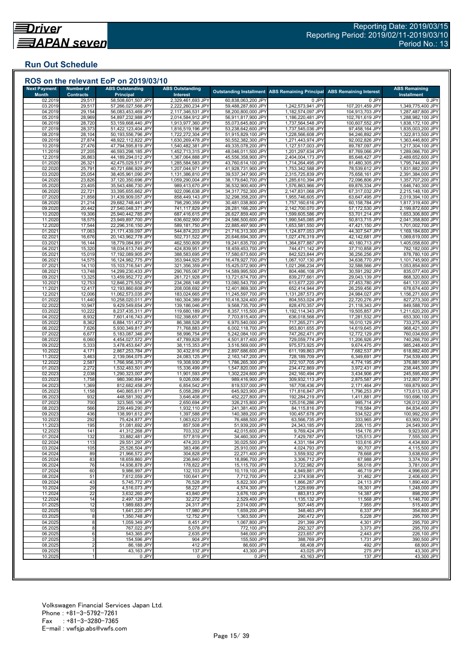## **Run Out Schedule**

| <b>Next Payment</b>     | <b>Number of</b>           | <b>ABS Outstanding</b>                   | <b>ABS Outstanding</b>                 |                                          | <b>Outstanding Installment   ABS Remaining Principal</b> | <b>ABS Remaining Interest</b>      | <b>ABS Remaining</b>                   |
|-------------------------|----------------------------|------------------------------------------|----------------------------------------|------------------------------------------|----------------------------------------------------------|------------------------------------|----------------------------------------|
| <b>Month</b><br>02.2019 | <b>Contracts</b><br>29,517 | <b>Principal</b><br>58,508,601,507 JPY   | Interest<br>2,329,461,693 JPY          | 60,838,063,200 JPY                       | 0 JPY                                                    | 0 JPY                              | Installment<br>0 JPY                   |
| 03.2019                 | 29,517                     | 57,266,027,566 JPY                       | 2,222,260,234 JPY                      | 59,488,287,800 JPY                       | 1,242,573,941 JPY                                        | 107,201,459 JPY                    | 1,349,775,400 JPY                      |
| 04.2019                 | 29,154                     | 56,083,453,469 JPY                       | 2,117,346,531 JPY                      | 58,200,800,000 JPY                       | 1,182,574,097 JPY                                        | 104,913,703 JPY                    | 1,287,487,800 JPY                      |
| 05.2019<br>06.2019      | 28,969<br>28,720           | 54,897,232,988 JPY<br>53,159,668,440 JPY | 2,014,584,912 JPY<br>1,913,977,360 JPY | 56,911,817,900 JPY<br>55,073,645,800 JPY | 1,186,220,481 JPY<br>1,737,564,548 JPY                   | 102,761,619 JPY<br>100,607,552 JPY | 1,288,982,100 JPY<br>1,838,172,100 JPY |
| 07.2019                 | 28,373                     | 51,422,123,404 JPY                       | 1,816,519,196 JPY                      | 53,238,642,600 JPY                       | 1,737,545,036 JPY                                        | 97,458,164 JPY                     | 1,835,003,200 JPY                      |
| 08.2019                 | 28,104                     | 50,193,556,796 JPY                       | 1,722,272,304 JPY                      | 51,915,829,100 JPY                       | 1,228,566,608 JPY                                        | 94,246,892 JPY                     | 1,322,813,500 JPY                      |
| 09.2019<br>10.2019      | 27,874<br>27,476           | 48,922,112,822 JPY<br>47,794,595,819 JPY | 1,630,269,478 JPY<br>1,540,482,381 JPY | 50,552,382,300 JPY<br>49,335,078,200 JPY | 1,271,443,974 JPY<br>1,127,517,003 JPY                   | 92,002,826 JPY<br>89,787,097 JPY   | 1,363,446,800 JPY<br>1,217,304,100 JPY |
| 11.2019                 | 27,205                     | 46,593,298,185 JPY                       | 1,452,713,315 JPY                      | 48,046,011,500 JPY                       | 1,201,297,634 JPY                                        | 87,769,066 JPY                     | 1,289,066,700 JPY                      |
| 12.2019                 | 26,863                     | 44,189,294,012 JPY                       | 1,367,064,888 JPY                      | 45,556,358,900 JPY                       | 2,404,004,173 JPY                                        | 85,648,427 JPY                     | 2,489,652,600 JPY                      |
| 01.2020                 | 26,321                     | 42,475,029,517 JPY                       | 1,285,584,583 JPY                      | 43,760,614,100 JPY                       | 1,714,264,495 JPY                                        | 81,480,305 JPY                     | 1,795,744,800 JPY                      |
| 02.2020<br>03.2020      | 25,791<br>25,054           | 40,721,686,929 JPY<br>38,405,961,090 JPY | 1,207,044,971 JPY<br>1,131,386,810 JPY | 41,928,731,900 JPY<br>39,537,347,900 JPY | 1,753,342,588 JPY<br>2,315,725,839 JPY                   | 78,539,612 JPY<br>75,658,161 JPY   | 1,831,882,200 JPY<br>2,391,384,000 JPY |
| 04.2020                 | 23,826                     | 37,120,350,696 JPY                       | 1,059,290,004 JPY                      | 38,179,640,700 JPY                       | 1,285,610,394 JPY                                        | 72,096,806 JPY                     | 1,357,707,200 JPY                      |
| 05.2020                 | 23,405                     | 35,543,486,730 JPY                       | 989,413,670 JPY                        | 36,532,900,400 JPY                       | 1,576,863,966 JPY                                        | 69,876,334 JPY                     | 1,646,740,300 JPY                      |
| 06.2020                 | 22,721                     | 33,395,655,662 JPY                       | 922,096,638 JPY                        | 34,317,752,300 JPY                       | 2,147,831,068 JPY                                        | 67,317,032 JPY                     | 2,215,148,100 JPY<br>2,019,394,100 JPY |
| 07.2020<br>08.2020      | 21,858<br>21,214           | 31,439,909,057 JPY<br>29,682,748,441 JPY | 858,449,143 JPY<br>798,290,359 JPY     | 32,298,358,200 JPY<br>30,481,038,800 JPY | 1,955,746,605 JPY<br>1,757,160,616 JPY                   | 63,647,495 JPY<br>60,158,784 JPY   | 1,817,319,400 JPY                      |
| 09.2020                 | 20,442                     | 27,540,048,371 JPY                       | 741,117,829 JPY                        | 28,281,166,200 JPY                       | 2,142,700,070 JPY                                        | 57,172,530 JPY                     | 2,199,872,600 JPY                      |
| 10.2020                 | 19,306                     | 25,940,442,785 JPY                       | 687,416,615 JPY                        | 26,627,859,400 JPY                       | 1,599,605,586 JPY                                        | 53,701,214 JPY                     | 1,653,306,800 JPY                      |
| 11.2020<br>12.2020      | 18,575<br>17,544           | 23,949,897,700 JPY<br>22,296,316,150 JPY | 636,602,900 JPY<br>589,181,750 JPY     | 24,586,500,600 JPY<br>22,885,497,900 JPY | 1,990,545,085 JPY<br>1,653,581,550 JPY                   | 50,813,715 JPY<br>47,421,150 JPY   | 2,041,358,800 JPY<br>1,701,002,700 JPY |
| 01.2021                 | 17,063                     | 21,171,439,097 JPY                       | 544,874,203 JPY                        | 21,716,313,300 JPY                       | 1,124,877,053 JPY                                        | 44,307,547 JPY                     | 1,169,184,600 JPY                      |
| 02.202'                 | 16,676                     | 20,143,962,778 JPY                       | 502,731,522 JPY                        | 20,646,694,300 JPY                       | 1,027,476,319 JPY                                        | 42,142,681 JPY                     | 1,069,619,000 JPY                      |
| 03.202'                 | 16,144                     | 18,779,084,891 JPY                       | 462,550,809 JPY                        | 19,241,635,700 JPY                       | 1,364,877,887 JPY                                        | 40,180,713 JPY                     | 1,405,058,600 JPY                      |
| 04.202<br>05.2021       | 15,320<br>15,019           | 18,034,613,749 JPY<br>17,192,089,905 JPY | 424,839,951 JPY<br>388,583,695 JPY     | 18,459,453,700 JPY<br>17,580,673,600 JPY | 744,471,142 JPY<br>842,523,844 JPY                       | 37,710,858 JPY<br>36,256,256 JPY   | 782,182,000 JPY<br>878,780,100 JPY     |
| 06.202                  | 14,575                     | 16,124,982,775 JPY                       | 353,944,925 JPY                        | 16,478,927,700 JPY                       | 1,067,107,130 JPY                                        | 34,638,770 JPY                     | 1,101,745,900 JPY                      |
| 07.2021                 | 14,110                     | 15,103,716,541 JPY                       | 321,356,359 JPY                        | 15,425,072,900 JPY                       | 1,021,266,234 JPY                                        | 32,588,566 JPY                     | 1,053,854,800 JPY                      |
| 08.2021                 | 13,748                     | 14,299,230,433 JPY                       | 290,765,067 JPY                        | 14,589,995,500 JPY                       | 804,486,108 JPY                                          | 30,591,292 JPY                     | 835,077,400 JPY                        |
| 09.202<br>10.2021       | 13,325<br>12,753           | 13,459,952,772 JPY<br>12,846,275,552 JPY | 261,721,928 JPY<br>234,268,148 JPY     | 13,721,674,700 JPY<br>13,080,543,700 JPY | 839,277,661 JPY<br>613,677,220 JPY                       | 29,043,139 JPY<br>27,453,780 JPY   | 868,320,800 JPY<br>641,131,000 JPY     |
| 11.202'                 | 12,417                     | 12,193,860,608 JPY                       | 208,008,692 JPY                        | 12,401,869,300 JPY                       | 652,414,944 JPY                                          | 26,259,456 JPY                     | 678,674,400 JPY                        |
| 12.202                  | 12,006                     | 11,062,573,035 JPY                       | 183,024,665 JPY                        | 11,245,597,700 JPY                       | 1,131,287,573 JPY                                        | 24,984,027 JPY                     | 1,156,271,600 JPY                      |
| 01.2022                 | 11,440                     | 10,258,020,011 JPY                       | 160,304,389 JPY                        | 10,418,324,400 JPY                       | 804,553,024 JPY                                          | 22,720,276 JPY                     | 827,273,300 JPY                        |
| 02.2022<br>03.2022      | 10,947<br>10,222           | 9,429,549,654 JPY<br>8,237,435,311 JPY   | 139,186,046 JPY<br>119,680,189 JPY     | 9,568,735,700 JPY<br>8,357,115,500 JPY   | 828,470,357 JPY<br>1,192,114,343 JPY                     | 21,118,343 JPY<br>19,505,857 JPY   | 849,588,700 JPY<br>1,211,620,200 JPY   |
| 04.202                  | 8,932                      | 7,601,416,743 JPY                        | 102,398,657 JPY                        | 7,703,815,400 JPY                        | 636,018,568 JPY                                          | 17,281,532 JPY                     | 653,300,100 JPY                        |
| 05.202                  | 8,362                      | 6,884,151,472 JPY                        | 86,388,528 JPY                         | 6,970,540,000 JPY                        | 717,265,271 JPY                                          | 16,010,129 JPY                     | 733,275,400 JPY                        |
| 06.2022<br>07.202       | 7,626<br>6,677             | 5,930,349,817 JPY<br>5,183,087,346 JPY   | 71,768,883 JPY<br>58,996,754 JPY       | 6,002,118,700 JPY<br>5,242,084,100 JPY   | 953,801,655 JPY<br>747,262,471 JPY                       | 14,619,645 JPY<br>12,772,129 JPY   | 968,421,300 JPY<br>760,034,600 JPY     |
| 08.2022                 | 6,060                      | 4,454,027,572 JPY                        | 47,789,828 JPY                         | 4,501,817,400 JPY                        | 729,059,774 JPY                                          | 11,206,926 JPY                     | 740,266,700 JPY                        |
| 09.202                  | 5,333                      | 3,478,453,647 JPY                        | 38,115,353 JPY                         | 3,516,569,000 JP\                        | 975,573,925 JPY                                          | 9,674,475 JPY                      | 985,248,400 JPY                        |
| 10.202                  | 4,171                      | 2,867,253,784 JPY                        | 30,432,816 JPY                         | 2,897,686,600 JPY                        | 611,199,863 JPY                                          | 7,682,537 JPY                      | 618,882,400 JPY                        |
| 11.2022<br>12.202       | 3,463<br>2,587             | 2,139,064,075 JPY<br>1,766,956,370 JPY   | 24,083,125 JPY<br>19,308,930 JPY       | 2,163,147,200 JPY<br>1,786,265,300 JPY   | 728,189,709 JPY<br>372,107,705 JPY                       | 6,349,691 JPY<br>4,774,195 JPY     | 734,539,400 JPY<br>376,881,900 JPY     |
| 01.2023                 | 2,272                      | 1,532,483,501 JPY                        | 15,336,499 JPY                         | 1,547,820,000 JPY                        | 234,472,869 JPY                                          | 3,972,431 JPY                      | 238,445,300 JPY                        |
| 02.202                  | 2,038                      | 1,290,323,007 JPY                        | 11,901,593 JPY                         | 1,302,224,600 JPY                        | 242,160,494 JPY                                          | 3,434,906 JPY                      | 245,595,400 JPY                        |
| 03.2023                 | 1,758                      | 980,390,894 JPY                          | 9,026,006 JPY                          | 989,416,900 JPY                          | 309,932,113 JPY                                          | 2,875,587 JPY                      | 312,807,700 JPY                        |
| 04.2023<br>05.2023      | 1,369<br>1,158             | 812,682,458 JPY<br>640,865,611 JPY       | 6,854,542 JPY<br>5,058,289 JPY         | 819,537,000 JPY<br>645,923,900 JPY       | 167,708,436 JPY<br>171,816,847 JPY                       | 2,171,464 JPY<br>1,796,253 JPY     | 169,879,900 JPY<br>173,613,100 JPY     |
| 06.202                  | 932                        | 448,581,392 JPY                          | 3,646,408 JPY                          | 452,227,800 JPY                          | 192,284,219 JPY                                          | 1,411,881 JPY                      | 193,696,100 JPY                        |
| 07.2023                 | 700                        | 323,565,106 JPY                          | 2,650,694 JPY                          | 326,215,800 JPY                          | 125,016,286 JPY                                          | 995,714 JPY                        | 126,012,000 JPY                        |
| 08.2023                 | 566<br>436                 | 239,449,290 JPY                          | 1,932,110 JPY                          | 241,381,400 JPY                          | 84,115,816 JPY<br>100,457,678 JPY                        | 718,584 JPY                        | 84,834,400 JPY                         |
| 09.2023<br>10.2023      | 292                        | 138,991,612 JPY<br>75,424,877 JPY        | 1,397,588 JPY<br>1,063,623 JPY         | 140,389,200 JPY<br>76,488,500 JPY        | 63,566,735 JPY                                           | 534,522 JPY<br>333,965 JPY         | 100,992,200 JPY<br>63,900,700 JPY      |
| 11.2023                 | 195                        | 51,081,692 JPY                           | 857,508 JPY                            | 51,939,200 JPY                           | 24,343,185 JPY                                           | 206,115 JPY                        | 24,549,300 JPY                         |
| 12.2023                 | 141                        | 41,312,268 JPY                           | 703,332 JPY                            | 42,015,600 JPY                           | 9,769,424 JPY                                            | 154,176 JPY                        | 9,923,600 JPY                          |
| 01.2024<br>02.2024      | 132<br>113                 | 33,882,481 JPY<br>29,551,297 JPY         | 577,819 JPY<br>474,203 JPY             | 34,460,300 JPY<br>30,025,500 JPY         | 7,429,787 JPY<br>4,331,184 JPY                           | 125,513 JPY<br>103,616 JPY         | 7,555,300 JPY<br>4,434,800 JPY         |
| 03.2024                 | 105                        | 25,526,504 JPY                           | 383,496 JPY                            | 25,910,000 JPY                           | 4,024,793 JPY                                            | 90,707 JPY                         | 4,115,500 JPY                          |
| 04.2024                 | 89                         | 21,966,572 JPY                           | 304,828 JPY                            | 22,271,400 JPY                           | 3,559,932 JPY                                            | 78,668 JPY                         | 3,638,600 JPY                          |
| 05.2024                 | 83                         | 18,659,860 JPY                           | 236,840 JPY                            | 18,896,700 JPY                           | 3,306,712 JPY                                            | 67,988 JPY                         | 3,374,700 JPY                          |
| 06.2024<br>07.2024      | 76<br>60                   | 14,936,878 JPY<br>9,986,997 JPY          | 178,822 JPY<br>132,103 JPY             | 15.115.700 JPY<br>10,119,100 JPY         | 3,722,982 JPY<br>4,949,881 JPY                           | 58,018 JPY<br>46,719 JPY           | 3,781,000 JPY<br>4,996,600 JPY         |
| 08.2024                 | 51                         | 7,612,059 JPY                            | 100,641 JPY                            | 7,712,700 JPY                            | 2,374,938 JPY                                            | 31,462 JPY                         | 2,406,400 JPY                          |
| 09.2024                 | 43                         | 5,745,772 JPY                            | 76,528 JPY                             | 5,822,300 JPY                            | 1,866,287 JPY                                            | 24,113 JPY                         | 1,890,400 JPY                          |
| 10.2024                 | 29                         | 4,516,073 JPY                            | 58,227 JPY                             | 4,574,300 JPY                            | 1,229,699 JPY                                            | 18,301 JPY                         | 1,248,000 JPY                          |
| 11.2024                 | 22                         | 3,632,260 JPY                            | 43,840 JPY                             | 3,676,100 JPY                            | 883,813 JPY                                              | 14,387 JPY                         | 898,200 JPY                            |
| 12.2024<br>01.2025      | 14<br>12                   | 2,497,128 JPY<br>1,989,683 JPY           | 32,272 JPY<br>24,317 JPY               | 2,529,400 JPY<br>2,014,000 JPY           | 1,135,132 JPY<br>507,445 JPY                             | 11,568 JPY<br>7,955 JPY            | 1,146,700 JPY<br>515,400 JPY           |
| 02.2025                 | 10                         | 1,641,220 JPY                            | 17,980 JPY                             | 1,659,200 JPY                            | 348,463 JPY                                              | 6,337 JPY                          | 354,800 JPY                            |
| 03.2025                 | 8                          | 1,350,748 JPY                            | 12,752 JPY                             | 1,363,500 JPY                            | 290,472 JPY                                              | 5,228 JPY                          | 295,700 JPY                            |
| 04.2025<br>05.2025      | 8<br>8                     | 1,059,349 JPY<br>767,022 JPY             | 8,451 JPY<br>5,078 JPY                 | 1,067,800 JPY<br>772,100 JPY             | 291,399 JPY<br>292,327 JPY                               | 4,301 JPY<br>3,373 JPY             | 295,700 JPY<br>295,700 JPY             |
| 06.2025                 | 6                          | 543,365 JPY                              | 2,635 JPY                              | 546,000 JPY                              | 223,657 JPY                                              | 2,443 JPY                          | 226,100 JPY                            |
| 07.2025                 | 3                          | 154,596 JPY                              | 904 JPY                                | 155,500 JPY                              | 388,769 JPY                                              | 1,731 JPY                          | 390,500 JPY                            |
| 08.2025                 |                            | 86,188 JPY                               | 412 JPY                                | 86,600 JPY                               | 68,408 JPY                                               | 492 JPY                            | 68,900 JPY                             |
| 09.2025<br>10.2025      | -1                         | 43,163 JPY                               | 137 JPY<br>0 JPY                       | 43,300 JPY                               | 43,025 JPY<br>43,163 JPY                                 | 275 JPY<br>137 JPY                 | 43,300 JPY<br>43,300 JPY               |
|                         |                            | 0 JPY                                    |                                        | 0 JPY                                    |                                                          |                                    |                                        |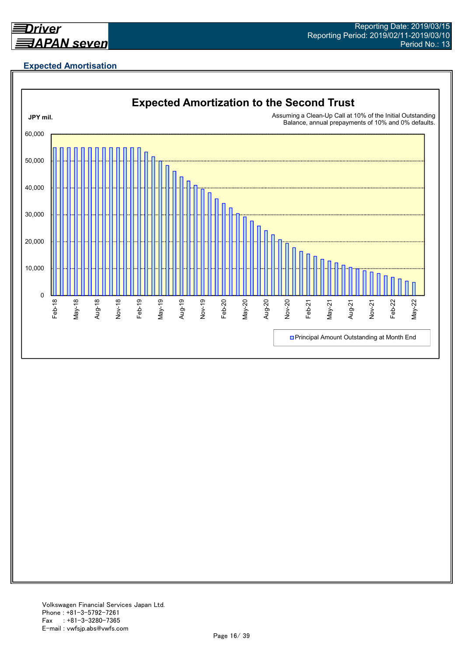

## **Expected Amortisation**

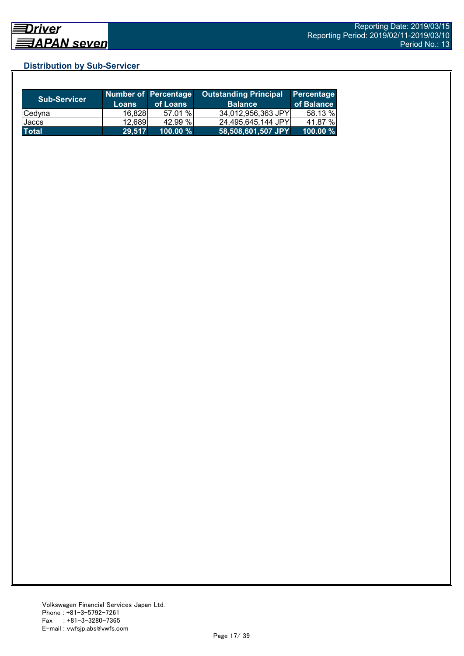## **Distribution by Sub-Servicer**

| <b>Sub-Servicer</b> | <b>Loans</b> | Number of Percentage<br>of Loans | <b>Outstanding Principal</b><br><b>Balance</b> | <b>Percentage</b><br>of Balance |
|---------------------|--------------|----------------------------------|------------------------------------------------|---------------------------------|
| <b>Cedyna</b>       | 16.828       | 57.01 %                          | 34,012,956,363 JPY                             | 58.13 %                         |
| Jaccs               | 12,689       | 42.99%                           | 24,495,645,144 JPY                             | 41.87 %                         |
| <b>Total</b>        | 29,517       | $100.00 \%$                      | 58,508,601,507 JPY                             | 100.00 $%$                      |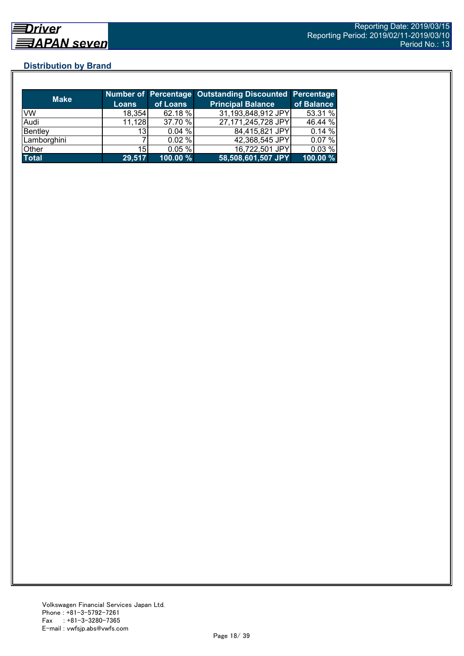## **Distribution by Brand**

| <b>Make</b>  |                 |             | <b>Number of Percentage Outstanding Discounted Percentage</b> |            |
|--------------|-----------------|-------------|---------------------------------------------------------------|------------|
|              | <b>Loans</b>    | of Loans    | <b>Principal Balance</b>                                      | of Balance |
| VW           | 18,354          | 62.18 %     | 31,193,848,912 JPY                                            | 53.31 %    |
| Audi         | 11,128          | 37.70 %     | 27,171,245,728 JPY                                            | 46.44 %    |
| Bentley      | 13              | 0.04%       | 84,415,821 JPY                                                | 0.14%      |
| Lamborghini  |                 | 0.02%       | 42,368,545 JPY                                                | 0.07%      |
| Other        | 15 <sub>l</sub> | 0.05%       | 16,722,501 JPY                                                | 0.03%      |
| <b>Total</b> | 29,517          | $100.00 \%$ | 58,508,601,507 JPY                                            | 100.00 %   |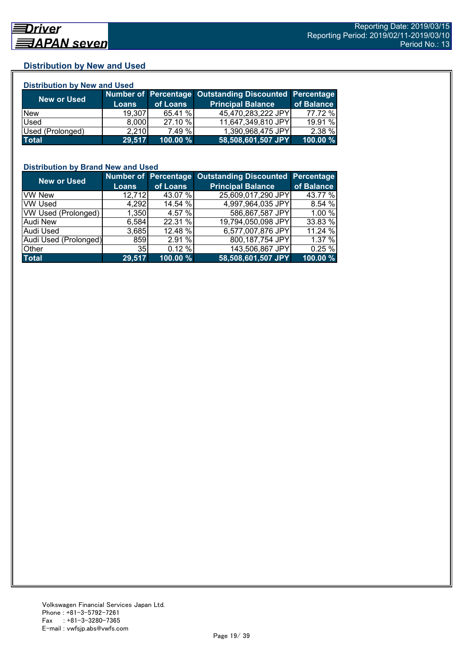## **Distribution by New and Used**

| <b>Distribution by New and Used</b> |              |          |                                                        |            |  |  |
|-------------------------------------|--------------|----------|--------------------------------------------------------|------------|--|--|
|                                     |              |          | Number of Percentage Outstanding Discounted Percentage |            |  |  |
| <b>New or Used</b>                  | <b>Loans</b> | of Loans | <b>Principal Balance</b>                               | of Balance |  |  |
| <b>New</b>                          | 19.307       | 65.41 %  | 45,470,283,222 JPY                                     | 77.72 %    |  |  |
| Used                                | 8,000        | 27.10 %  | 11,647,349,810 JPY                                     | 19.91 %    |  |  |
| Used (Prolonged)                    | 2,210        | 7.49 %   | 1,390,968,475 JPY                                      | 2.38 %     |  |  |
| <b>Total</b>                        | 29,517       | 100.00 % | 58,508,601,507 JPY                                     | 100.00 %   |  |  |

## **Distribution by Brand New and Used**

| <b>New or Used</b>         |                 |          | Number of Percentage Outstanding Discounted Percentage |            |
|----------------------------|-----------------|----------|--------------------------------------------------------|------------|
|                            | <b>Loans</b>    | of Loans | <b>Principal Balance</b>                               | of Balance |
| <b>VW New</b>              | 12,712          | 43.07 %  | 25,609,017,290 JPY                                     | 43.77 %    |
| <b>VW Used</b>             | 4,292           | 14.54 %  | 4,997,964,035 JPY                                      | 8.54 %     |
| <b>VW Used (Prolonged)</b> | 1,350           | 4.57 %   | 586,867,587 JPY                                        | 1.00 %     |
| <b>Audi New</b>            | 6,584           | 22.31 %  | 19,794,050.098 JPY                                     | 33.83 %    |
| Audi Used                  | 3.685           | 12.48 %  | 6,577,007,876 JPY                                      | 11.24 %    |
| Audi Used (Prolonged)      | 859             | 2.91%    | 800,187,754 JPY                                        | 1.37 %     |
| Other                      | 35 <sub>l</sub> | 0.12%    | 143,506,867 JPY                                        | 0.25%      |
| <b>Total</b>               | 29,517          | 100.00 % | 58,508,601,507 JPY                                     | 100.00 %   |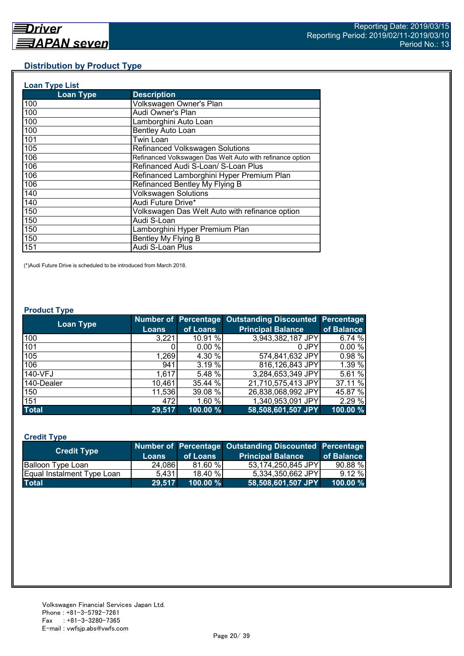## **Distribution by Product Type**

| <b>Loan Type List</b> |                                                           |
|-----------------------|-----------------------------------------------------------|
| <b>Loan Type</b>      | <b>Description</b>                                        |
| 100                   | Volkswagen Owner's Plan                                   |
| 100                   | Audi Owner's Plan                                         |
| 100                   | Lamborghini Auto Loan                                     |
| 100                   | Bentley Auto Loan                                         |
| 101                   | Twin Loan                                                 |
| 105                   | <b>Refinanced Volkswagen Solutions</b>                    |
| 106                   | Refinanced Volkswagen Das Welt Auto with refinance option |
| 106                   | Refinanced Audi S-Loan/ S-Loan Plus                       |
| 106                   | Refinanced Lamborghini Hyper Premium Plan                 |
| 106                   | Refinanced Bentley My Flying B                            |
| 140                   | <b>Volkswagen Solutions</b>                               |
| 140                   | Audi Future Drive*                                        |
| 150                   | Volkswagen Das Welt Auto with refinance option            |
| 150                   | Audi S-Loan                                               |
| 150                   | Lamborghini Hyper Premium Plan                            |
| 150                   | Bentley My Flying B                                       |
| 151                   | Audi S-Loan Plus                                          |

(\*)Audi Future Drive is scheduled to be introduced from March 2018.

#### **Product Type**

| <b>Loan Type</b> |              |          | <b>Number of Percentage Outstanding Discounted</b> | Percentage |
|------------------|--------------|----------|----------------------------------------------------|------------|
|                  | <b>Loans</b> | of Loans | <b>Principal Balance</b>                           | of Balance |
| 100              | 3,221        | 10.91 %  | 3,943,382,187 JPY                                  | 6.74 %     |
| 101              |              | 0.00%    | 0 JPY                                              | 0.00%      |
| 105              | 1,269        | 4.30 %   | 574,841,632 JPY                                    | 0.98%      |
| 106              | 941          | 3.19%    | 816,126,843 JPY                                    | 1.39 %     |
| 140-VFJ          | 1,617        | 5.48 %   | 3,284,653,349 JPY                                  | 5.61 %     |
| 140-Dealer       | 10,461       | 35.44 %  | 21,710,575,413 JPY                                 | 37.11 %    |
| 150              | 11,536       | 39.08 %  | 26,838,068,992 JPY                                 | 45.87 %    |
| 151              | 472          | 1.60 %   | 1,340,953,091 JPY                                  | 2.29 %     |
| <b>Total</b>     | 29,517       | 100.00 % | 58,508,601,507 JPY                                 | 100.00 %   |

## **Credit Type**

| <b>Credit Type</b>         |        |             | Number of Percentage Outstanding Discounted Percentage |            |
|----------------------------|--------|-------------|--------------------------------------------------------|------------|
|                            | Loans  | of Loans    | <b>Principal Balance</b>                               | of Balance |
| Balloon Type Loan          | 24.086 | 81.60%      | 53,174,250,845 JPY                                     | 90.88%     |
| Equal Instalment Type Loan | 5.431  | 18.40%      | 5.334.350.662 JPY                                      | 9.12%      |
| <b>Total</b>               | 29,517 | $100.00 \%$ | 58,508,601,507 JPY                                     | 100.00 %   |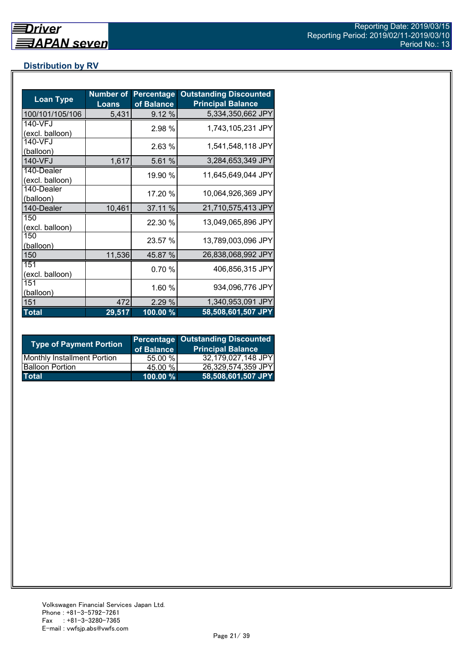## **Distribution by RV**

| <b>Loan Type</b>              | <b>Number of</b><br><b>Loans</b> | <b>Percentage</b><br>of Balance | <b>Outstanding Discounted</b><br><b>Principal Balance</b> |
|-------------------------------|----------------------------------|---------------------------------|-----------------------------------------------------------|
| 100/101/105/106               | 5,431                            | 9.12 %                          | 5,334,350,662 JPY                                         |
| 140-VFJ<br>(excl. balloon)    |                                  | 2.98 %                          | 1,743,105,231 JPY                                         |
| 140-VFJ<br>(balloon)          |                                  | 2.63%                           | 1,541,548,118 JPY                                         |
| 140-VFJ                       | 1,617                            | 5.61 %                          | 3,284,653,349 JPY                                         |
| 140-Dealer<br>(excl. balloon) |                                  | 19.90 %                         | 11,645,649,044 JPY                                        |
| 140-Dealer<br>(balloon)       |                                  | 17.20 %                         | 10,064,926,369 JPY                                        |
| 140-Dealer                    | 10,461                           | 37.11 %                         | 21,710,575,413 JPY                                        |
| 150<br>(excl. balloon)        |                                  | 22.30 %                         | 13,049,065,896 JPY                                        |
| 150<br>(balloon)              |                                  | 23.57 %                         | 13,789,003,096 JPY                                        |
| 150                           | 11,536                           | 45.87 %                         | 26,838,068,992 JPY                                        |
| 151<br>(excl. balloon)        |                                  | 0.70%                           | 406,856,315 JPY                                           |
| 151<br>(balloon)              |                                  | 1.60 %                          | 934,096,776 JPY                                           |
| 151                           | 472                              | 2.29%                           | 1,340,953,091 JPY                                         |
| <b>Total</b>                  | 29,517                           | 100.00 %                        | 58,508,601,507 JPY                                        |

| <b>Type of Payment Portion</b>     | of Balance | <b>Percentage Outstanding Discounted</b><br><b>Principal Balance</b> |
|------------------------------------|------------|----------------------------------------------------------------------|
| <b>Monthly Installment Portion</b> | 55.00 %    | 32,179,027,148 JPY                                                   |
| <b>Balloon Portion</b>             | 45.00 %    | 26,329,574,359 JPY                                                   |
| <b>Total</b>                       | 100.00 %   | 58,508,601,507 JPY                                                   |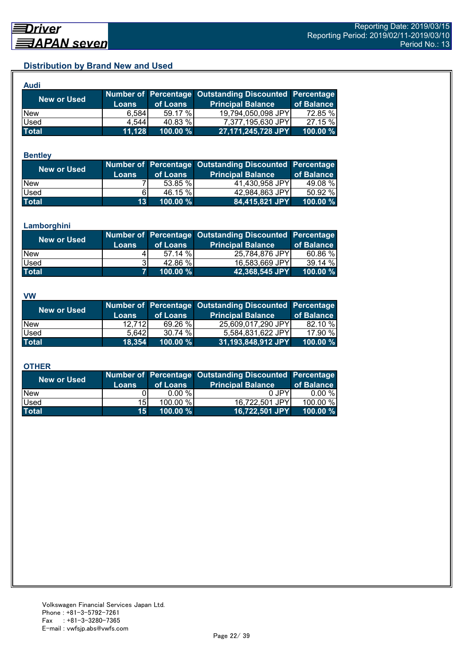## **Distribution by Brand New and Used**

| <b>Audi</b>  |              |          |                                                        |            |
|--------------|--------------|----------|--------------------------------------------------------|------------|
| New or Used  |              |          | Number of Percentage Outstanding Discounted Percentage |            |
|              | <b>Loans</b> | of Loans | <b>Principal Balance</b>                               | of Balance |
| <b>New</b>   | 6.584        | 59.17 %  | 19,794,050,098 JPY                                     | 72.85 %    |
| Used         | 4.544        | 40.83 %  | 7,377,195,630 JPY                                      | 27.15 %    |
| <b>Total</b> | 11,128       | 100.00 % | 27,171,245,728 JPY                                     | 100.00 %   |

#### **Bentley**

| New or Used  | Loans           | of Loans | Number of Percentage Outstanding Discounted Percentage<br><b>Principal Balance</b> | of Balance |
|--------------|-----------------|----------|------------------------------------------------------------------------------------|------------|
| <b>New</b>   |                 | 53.85 %  | 41,430,958 JPY                                                                     | 49.08 %    |
| <b>Used</b>  | 61              | 46.15 %  | 42.984.863 JPYI                                                                    | 50.92 %    |
| <b>Total</b> | 13 <sup>1</sup> | 100.00 % | 84,415,821 JPY                                                                     | 100.00 %   |

#### **Lamborghini**

| New or Used  | <b>Loans</b> | of Loans | Number of Percentage Outstanding Discounted Percentage<br><b>Principal Balance</b> | of Balance |
|--------------|--------------|----------|------------------------------------------------------------------------------------|------------|
| <b>New</b>   |              | 57.14%   | 25,784,876 JPY                                                                     | 60.86%     |
| <b>Used</b>  |              | 42.86 %  | 16,583,669 JPY                                                                     | 39.14%     |
| <b>Total</b> |              | 100.00 % | 42,368,545 JPY                                                                     | 100.00 $%$ |

#### **VW**

| <b>New or Used</b> |              |          | Number of Percentage Outstanding Discounted Percentage |            |
|--------------------|--------------|----------|--------------------------------------------------------|------------|
|                    | <b>Loans</b> | of Loans | <b>Principal Balance</b>                               | of Balance |
| <b>New</b>         | 12.712L      | 69.26 %  | 25,609,017,290 JPY                                     | 82.10 %    |
| <b>Used</b>        | 5.642        | 30.74%   | 5,584,831,622 JPY                                      | 17.90 %    |
| <b>Total</b>       | 18.354       | 100.00 % | 31,193,848,912 JPY                                     | 100.00 %   |

#### **OTHER**

| <b>New or Used</b> | <b>Loans</b>    | of Loans | Number of Percentage Outstanding Discounted Percentage<br><b>Principal Balance</b> | of Balance |
|--------------------|-----------------|----------|------------------------------------------------------------------------------------|------------|
| <b>New</b>         |                 | 0.00 %   | 0 JPY                                                                              | $0.00 \%$  |
| Used               | 15I             | 100.00 % | 16,722,501 JPY                                                                     | 100.00 %   |
| <b>Total</b>       | 15 <sup>1</sup> | 100.00 % | 16,722,501 JPY                                                                     | 100.00 $%$ |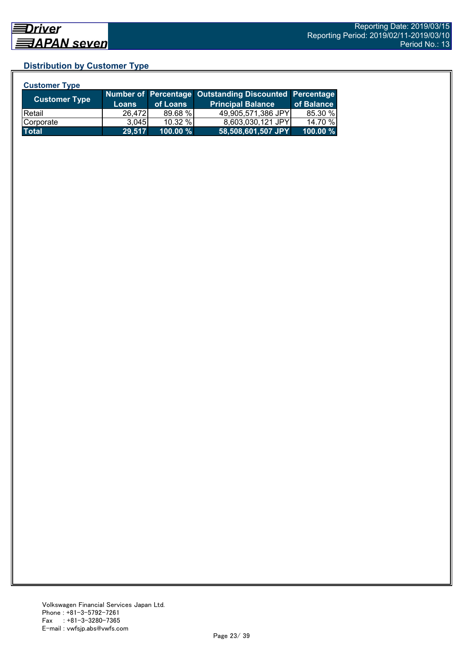## **Distribution by Customer Type**

| <b>Customer Type</b> |              |           |                                                        |            |
|----------------------|--------------|-----------|--------------------------------------------------------|------------|
| <b>Customer Type</b> |              |           | Number of Percentage Outstanding Discounted Percentage |            |
|                      | <b>Loans</b> | of Loans  | <b>Principal Balance</b>                               | of Balance |
| <b>IRetail</b>       | 26,472       | 89.68 %   | 49,905,571,386 JPY                                     | 85.30 %    |
| Corporate            | 3.045        | $10.32\%$ | 8,603,030,121 JPY                                      | 14.70 %    |
| <b>Total</b>         | 29,517       | 100.00 %  | 58,508,601,507 JPY                                     | 100.00 %   |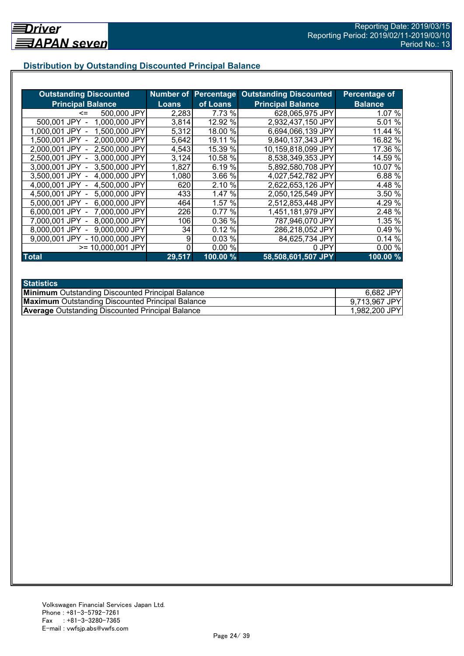## **Distribution by Outstanding Discounted Principal Balance**

| <b>Outstanding Discounted</b>     |        |          | <b>Number of Percentage Outstanding Discounted</b> | Percentage of  |
|-----------------------------------|--------|----------|----------------------------------------------------|----------------|
| <b>Principal Balance</b>          | Loans  | of Loans | <b>Principal Balance</b>                           | <b>Balance</b> |
| 500,000 JPY<br><=                 | 2,283  | 7.73 %   | 628,065,975 JPY                                    | 1.07 %         |
| 1,000,000 JPY<br>500,001 JPY      | 3,814  | 12.92 %  | 2,932,437,150 JPY                                  | 5.01 %         |
| 1,500,000 JPY<br>1.000.001 JPY    | 5,312  | 18.00 %  | 6,694,066,139 JPY                                  | 11.44 %        |
| 2,000,000 JPY<br>1.500.001 JPY -  | 5,642  | 19.11 %  | 9,840,137,343 JPY                                  | 16.82 %        |
| 2,500,000 JPY<br>2.000.001 JPY -  | 4,543  | 15.39 %  | 10,159,818,099 JPY                                 | 17.36 %        |
| 3,000,000 JPY<br>2,500,001 JPY -  | 3,124  | 10.58 %  | 8,538,349,353 JPY                                  | 14.59 %        |
| 3,500,000 JPY<br>3,000,001 JPY -  | 1,827  | 6.19%    | 5,892,580,708 JPY                                  | 10.07 %        |
| 3.500,001 JPY -<br>4,000,000 JPY  | 1,080  | 3.66 %   | 4,027,542,782 JPY                                  | 6.88 %         |
| 4,000,001 JPY -<br>4,500,000 JPY  | 620    | 2.10 %   | 2,622,653,126 JPY                                  | 4.48 %         |
| 4,500,001 JPY -<br>5,000,000 JPY  | 433    | 1.47%    | 2,050,125,549 JPY                                  | 3.50 %         |
| 6,000,000 JPY<br>5,000,001 JPY -  | 464    | 1.57 %   | 2,512,853,448 JPY                                  | 4.29 %         |
| 7,000,000 JPY<br>6,000,001 JPY -  | 226    | 0.77%    | 1,451,181,979 JPY                                  | 2.48 %         |
| 8,000,000 JPY<br>7.000.001 JPY -  | 106    | 0.36 %   | 787,946,070 JPY                                    | 1.35 %         |
| 9,000,000 JPY<br>8,000,001 JPY    | 34     | 0.12%    | 286,218,052 JPY                                    | 0.49 %         |
| - 10,000,000 JPY<br>9.000.001 JPY | 9      | 0.03%    | 84,625,734 JPY                                     | 0.14%          |
| >= 10,000,001 JPY                 |        | 0.00%    | 0 JPY                                              | 0.00%          |
| <b>Total</b>                      | 29,517 | 100.00 % | 58,508,601,507 JPY                                 | 100.00%        |

| <b>Statistics</b>                                       |               |
|---------------------------------------------------------|---------------|
| <b>Minimum</b> Outstanding Discounted Principal Balance | 6,682 JPY     |
| <b>Maximum</b> Outstanding Discounted Principal Balance | 9,713,967 JPY |
| <b>Average Outstanding Discounted Principal Balance</b> | 1,982,200 JPY |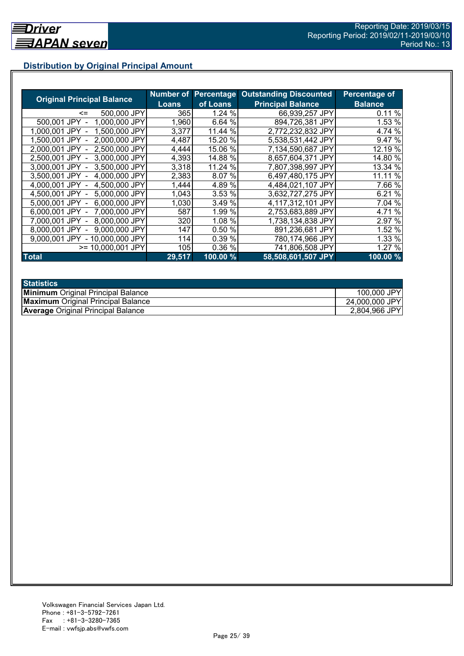## **Distribution by Original Principal Amount**

|                                   |              |          | <b>Number of Percentage Outstanding Discounted</b> | <b>Percentage of</b> |
|-----------------------------------|--------------|----------|----------------------------------------------------|----------------------|
| <b>Original Principal Balance</b> | <b>Loans</b> | of Loans | <b>Principal Balance</b>                           | <b>Balance</b>       |
| 500,000 JPY<br><=                 | <b>365</b>   | 1.24 %   | 66,939,257 JPY                                     | 0.11%                |
| 500,001 JPY<br>1,000,000 JPY      | 1,960        | 6.64 %   | 894,726,381 JPY                                    | 1.53 %               |
| 1,500,000 JPY<br>1.000.001 JPY    | 3,377        | 11.44 %  | 2,772,232,832 JPY                                  | 4.74 %               |
| 2,000,000 JPY<br>1.500.001 JPY    | 4,487        | 15.20 %  | 5,538,531,442 JPY                                  | 9.47 %               |
| 2,500,000 JPY<br>2.000.001 JPY    | 4,444        | 15.06 %  | 7,134,590,687 JPY                                  | 12.19 %              |
| 2,500,001 JPY<br>3.000.000 JPY    | 4,393        | 14.88 %  | 8,657,604,371 JPY                                  | 14.80 %              |
| 3.000.001 JPY<br>3.500,000 JPY    | 3,318        | 11.24 %  | 7,807,398,997 JPY                                  | 13.34 %              |
| 3,500,001 JPY<br>4,000,000 JPY    | 2,383        | 8.07 %   | 6,497,480,175 JPY                                  | 11.11 %              |
| 4,500,000 JPY<br>4,000,001 JPY    | 1,444        | 4.89%    | 4,484,021,107 JPY                                  | 7.66 %               |
| 5,000,000 JPY<br>4.500.001 JPY -  | 1,043        | 3.53 %   | 3,632,727,275 JPY                                  | 6.21 %               |
| 6,000,000 JPY<br>5,000,001 JPY -  | 1,030        | 3.49 %   | 4.117,312,101 JPY                                  | 7.04 %               |
| 6,000,001 JPY -<br>7,000,000 JPY  | 587          | 1.99 %   | 2,753,683,889 JPY                                  | 4.71 %               |
| 8,000,000 JPY<br>7.000.001 JPY -  | 320          | 1.08 %   | 1,738,134,838 JPY                                  | 2.97 %               |
| 9,000,000 JPY<br>8.000.001 JPY    | 147          | 0.50%    | 891,236,681 JPY                                    | 1.52 %               |
| 9.000.001 JPY<br>- 10,000,000 JPY | 114          | 0.39 %   | 780,174,966 JPY                                    | 1.33 %               |
| $>= 10,000,001$ JPY               | 105          | 0.36 %   | 741,806,508 JPY                                    | 1.27 %               |
| <b>Total</b>                      | 29,517       | 100.00 % | 58,508,601,507 JPY                                 | 100.00%              |

| <b>Statistics</b>                         |                |
|-------------------------------------------|----------------|
| <b>Minimum</b> Original Principal Balance | 100,000 JPY    |
| <b>Maximum</b> Original Principal Balance | 24,000,000 JPY |
| <b>Average Original Principal Balance</b> | 2,804,966 JPY  |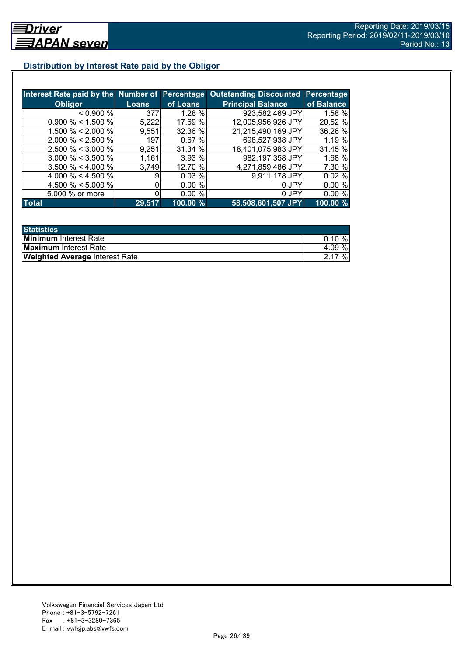## **Distribution by Interest Rate paid by the Obligor**

|                       |        |          | Interest Rate paid by the Number of Percentage Outstanding Discounted | <b>Percentage</b> |
|-----------------------|--------|----------|-----------------------------------------------------------------------|-------------------|
| <b>Obligor</b>        | Loans  | of Loans | <b>Principal Balance</b>                                              | of Balance        |
| < 0.900 %             | 377    | 1.28%    | 923,582,469 JPY                                                       | 1.58 %            |
| $0.900\% < 1.500\%$   | 5,222  | 17.69 %  | 12,005,956,926 JPY                                                    | 20.52 %           |
| 1.500 % < 2.000 %     | 9,551  | 32.36 %  | 21,215,490,169 JPY                                                    | 36.26 %           |
| $2.000 \% < 2.500 \%$ | 197    | 0.67%    | 698,527,938 JPY                                                       | 1.19 %            |
| $2.500 \% < 3.000 \%$ | 9,251  | 31.34 %  | 18,401,075,983 JPY                                                    | 31.45 %           |
| $3.000 \% < 3.500 \%$ | 1,161  | 3.93 %   | 982,197,358 JPY                                                       | 1.68 %            |
| $3.500 \% < 4.000 \%$ | 3,749  | 12.70 %  | 4,271,859,486 JPY                                                     | 7.30 %            |
| 4.000 % < 4.500 %     |        | 0.03%    | 9,911,178 JPY                                                         | 0.02%             |
| 4.500 % < 5.000 %     |        | 0.00%    | 0 JPY                                                                 | 0.00%             |
| 5.000 % or more       |        | 0.00%    | 0 JPY                                                                 | 0.00%             |
| <b>Total</b>          | 29,517 | 100.00 % | 58,508,601,507 JPY                                                    | 100.00 %          |

| <b>Statistics</b>                     |           |
|---------------------------------------|-----------|
| <b>Minimum</b> Interest Rate          | $0.10 \%$ |
| <b>Maximum</b> Interest Rate          | 4.09%     |
| <b>Weighted Average Interest Rate</b> | 2.17%     |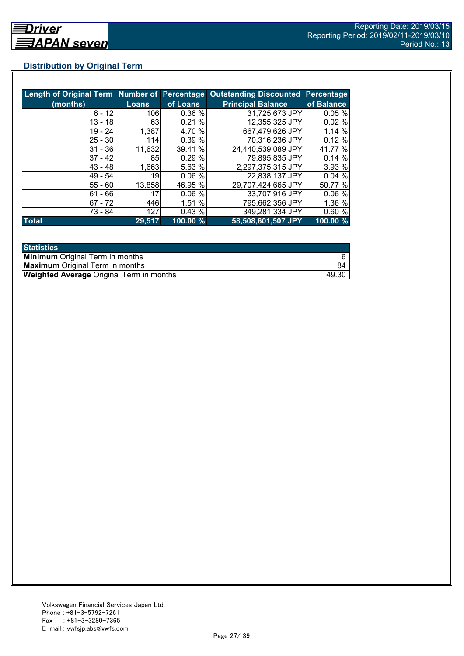## **Distribution by Original Term**

| Length of Original Term Number of Percentage |              |          | <b>Outstanding Discounted Percentage</b> |            |
|----------------------------------------------|--------------|----------|------------------------------------------|------------|
| (months)                                     | <b>Loans</b> | of Loans | <b>Principal Balance</b>                 | of Balance |
| $6 - 12$                                     | 106          | 0.36%    | 31,725,673 JPY                           | 0.05%      |
| $13 - 18$                                    | 63           | 0.21%    | 12,355,325 JPY                           | 0.02%      |
| $19 - 24$                                    | 1,387        | 4.70 %   | 667,479,626 JPY                          | 1.14%      |
| $25 - 30$                                    | 114          | 0.39 %   | 70,316,236 JPY                           | 0.12%      |
| $31 - 36$                                    | 11,632       | 39.41 %  | 24,440,539,089 JPY                       | 41.77 %    |
| $37 - 42$                                    | 85           | 0.29%    | 79,895,835 JPY                           | 0.14%      |
| $43 - 48$                                    | 1,663        | 5.63 %   | 2,297,375,315 JPY                        | 3.93 %     |
| $49 - 54$                                    | 19           | 0.06%    | 22,838,137 JPY                           | 0.04%      |
| $55 - 60$                                    | 13,858       | 46.95 %  | 29,707,424,665 JPY                       | 50.77 %    |
| $61 - 66$                                    | 17           | 0.06%    | 33,707,916 JPY                           | 0.06%      |
| $67 - 72$                                    | 446          | 1.51 %   | 795,662,356 JPY                          | 1.36%      |
| 73 - 84                                      | 127          | 0.43%    | 349,281,334 JPY                          | 0.60%      |
| <b>Total</b>                                 | 29,517       | 100.00 % | 58,508,601,507 JPY                       | 100.00 %   |

| <b>Statistics</b>                               |       |
|-------------------------------------------------|-------|
| <b>Minimum</b> Original Term in months          |       |
| <b>Maximum</b> Original Term in months          | 84    |
| <b>Weighted Average Original Term in months</b> | 49.30 |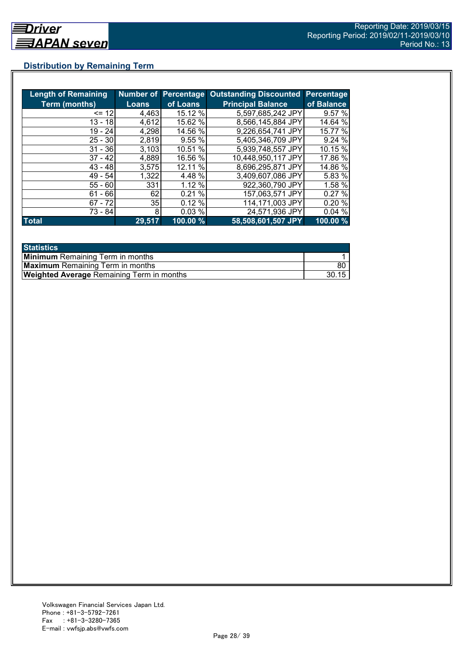## **Distribution by Remaining Term**

| <b>Length of Remaining</b> |              |          | Number of Percentage Outstanding Discounted | <b>Percentage</b> |
|----------------------------|--------------|----------|---------------------------------------------|-------------------|
| <b>Term (months)</b>       | <b>Loans</b> | of Loans | <b>Principal Balance</b>                    | of Balance        |
| $= 12$                     | 4,463        | 15.12 %  | 5,597,685,242 JPY                           | 9.57%             |
| 13 - 18                    | 4,612        | 15.62 %  | 8,566,145,884 JPY                           | 14.64 %           |
| $19 - 24$                  | 4,298        | 14.56 %  | 9,226,654,741 JPY                           | 15.77 %           |
| $25 - 30$                  | 2,819        | 9.55 %   | 5,405,346,709 JPY                           | 9.24 %            |
| $31 - 36$                  | 3,103        | 10.51 %  | 5.939,748,557 JPY                           | 10.15 %           |
| $37 - 42$                  | 4,889        | 16.56 %  | 10,448,950,117 JPY                          | 17.86 %           |
| $43 - 48$                  | 3,575        | 12.11 %  | 8,696,295,871 JPY                           | 14.86 %           |
| $49 - 54$                  | 1,322        | 4.48 %   | 3,409,607,086 JPY                           | 5.83 %            |
| $55 - 60$                  | 331          | 1.12 %   | 922,360,790 JPY                             | 1.58 %            |
| $61 - 66$                  | 62           | 0.21%    | 157,063,571 JPY                             | 0.27%             |
| $67 - 72$                  | 35           | 0.12%    | 114,171,003 JPY                             | 0.20%             |
| 73 - 84                    | 8            | 0.03%    | 24,571,936 JPY                              | 0.04%             |
| <b>Total</b>               | 29,517       | 100.00 % | 58,508,601,507 JPY                          | 100.00 %          |

| <b>Statistics</b>                                |       |
|--------------------------------------------------|-------|
| <b>Minimum</b> Remaining Term in months          |       |
| <b>Maximum</b> Remaining Term in months          | 80    |
| <b>Weighted Average Remaining Term in months</b> | 30.15 |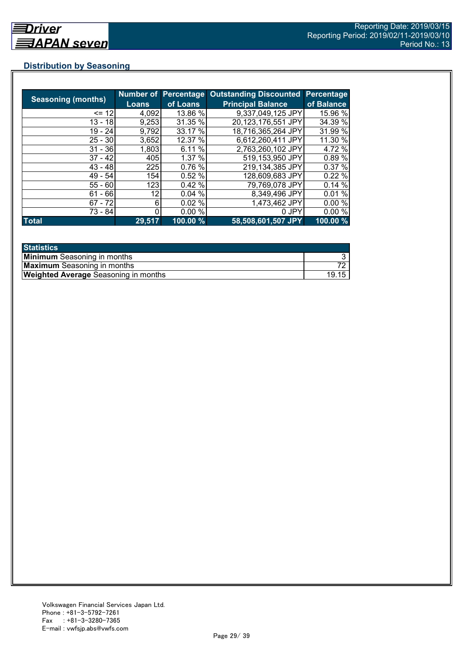## **Distribution by Seasoning**

|                           |              |          | Number of Percentage Outstanding Discounted | Percentage |
|---------------------------|--------------|----------|---------------------------------------------|------------|
| <b>Seasoning (months)</b> | <b>Loans</b> | of Loans | <b>Principal Balance</b>                    | of Balance |
| $= 12$                    | 4,092        | 13.86 %  | 9,337,049,125 JPY                           | 15.96 %    |
| $13 - 18$                 | 9,253        | 31.35 %  | 20,123,176,551 JPY                          | 34.39 %    |
| $19 - 24$                 | 9,792        | 33.17 %  | 18,716,365,264 JPY                          | 31.99 %    |
| $25 - 30$                 | 3,652        | 12.37 %  | 6,612,260,411 JPY                           | 11.30 %    |
| $31 - 36$                 | 1,803        | 6.11 %   | 2,763,260,102 JPY                           | 4.72 %     |
| $37 - 42$                 | 405          | 1.37%    | 519,153,950 JPY                             | 0.89%      |
| $43 - 48$                 | 225          | 0.76%    | 219,134,385 JPY                             | 0.37 %     |
| 49 - 54                   | 154          | 0.52%    | 128,609,683 JPY                             | 0.22%      |
| $55 - 60$                 | 123          | 0.42%    | 79,769,078 JPY                              | 0.14%      |
| $61 - 66$                 | 12           | 0.04%    | 8,349,496 JPY                               | 0.01%      |
| $67 - 72$                 | 6            | 0.02%    | 1,473,462 JPY                               | 0.00%      |
| 73 - 84                   |              | 0.00%    | 0 JPY                                       | 0.00%      |
| <b>Total</b>              | 29,517       | 100.00 % | 58,508,601,507 JPY                          | 100.00 %   |

| <b>Statistics</b>                           |       |
|---------------------------------------------|-------|
| <b>Minimum</b> Seasoning in months          |       |
| <b>Maximum</b> Seasoning in months          |       |
| <b>Weighted Average Seasoning in months</b> | 19.15 |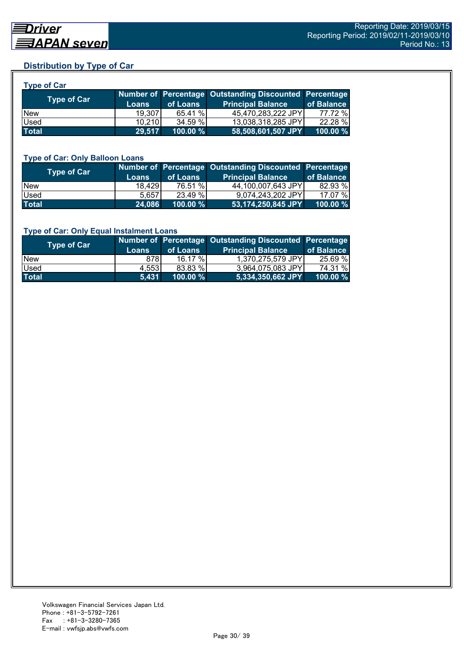## **Distribution by Type of Car**

| <b>Type of Car</b> |              |          |                                                        |            |
|--------------------|--------------|----------|--------------------------------------------------------|------------|
| <b>Type of Car</b> |              |          | Number of Percentage Outstanding Discounted Percentage |            |
|                    | <b>Loans</b> | of Loans | <b>Principal Balance</b>                               | of Balance |
| <b>New</b>         | 19.307       | 65.41 %  | 45,470,283,222 JPY                                     | 77.72 %    |
| Used               | 10,210       | 34.59 %  | 13,038,318,285 JPY                                     | 22.28 %    |
| <b>Total</b>       | 29,517       | 100.00 % | 58,508,601,507 JPY                                     | 100.00 %   |

#### **Type of Car: Only Balloon Loans**

| <b>Type of Car</b> | <b>Loans</b> | of Loans    | Number of Percentage Outstanding Discounted Percentage<br><b>Principal Balance</b> | of Balance  |
|--------------------|--------------|-------------|------------------------------------------------------------------------------------|-------------|
| <b>New</b>         | 18.429       | 76.51 %     | 44,100,007,643 JPY                                                                 | 82.93 %     |
| <b>Used</b>        | 5.657        | 23.49 %     | 9,074,243,202 JPY                                                                  | 17.07 %     |
| <b>Total</b>       | 24,086       | $100.00 \%$ | 53,174,250,845 JPY                                                                 | $100.00 \%$ |

#### **Type of Car: Only Equal Instalment Loans**

| Type of Car  | <b>Loans</b> | of Loans    | Number of Percentage Outstanding Discounted Percentage<br><b>Principal Balance</b> | of Balance |
|--------------|--------------|-------------|------------------------------------------------------------------------------------|------------|
| <b>New</b>   | 878I         | $16.17 \%$  | 1,370,275,579 JPY                                                                  | 25.69 %    |
| <b>Used</b>  | 4.553        | 83.83 %     | 3.964.075.083 JPY                                                                  | 74.31 %    |
| <b>Total</b> | 5,431        | $100.00 \%$ | 5,334,350,662 JPY                                                                  | 100.00 %   |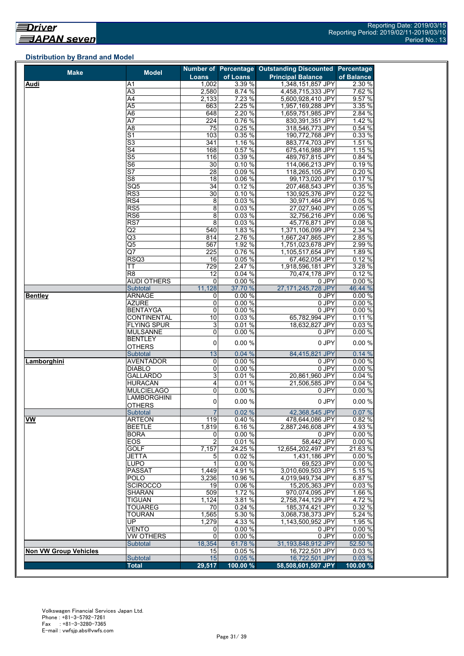## **Distribution by Brand and Model**

| <b>Make</b>                  | <b>Model</b>                        |                 |          | Number of Percentage Outstanding Discounted Percentage |                  |
|------------------------------|-------------------------------------|-----------------|----------|--------------------------------------------------------|------------------|
|                              |                                     | Loans           | of Loans | <b>Principal Balance</b>                               | of Balance       |
| Audi                         | A1                                  | 1,002           | 3.39 %   | 1,348,151,857 JPY                                      | 2.30 %           |
|                              | A3                                  | 2,580           | 8.74 %   | 4,458,715,333 JPY                                      | 7.62 %           |
|                              | $\overline{A4}$                     | 2,133           | 7.23 %   | 5,600,928,410 JPY                                      | 9.57%            |
|                              | $\overline{A5}$                     | 663             | 2.25 %   | 1,957,169,288 JPY                                      | 3.35 %           |
|                              | $\overline{A6}$                     | 648             | 2.20 %   | 1,659,751,985 JPY                                      | 2.84 %           |
|                              | $\overline{A7}$                     | 224             | 0.76%    | 830,391,351 JPY                                        | 1.42%            |
|                              | $\overline{AB}$                     | 75              | 0.25%    | 318,546,773 JPY                                        | 0.54%            |
|                              | $\overline{S1}$                     | 103             | 0.35%    | 190,772,768 JPY                                        | 0.33%            |
|                              | $\overline{\mathsf{S}3}$            | 341             | 1.16 %   | 883,774,703 JPY                                        | 1.51 %           |
|                              | S <sub>4</sub>                      | 168             | 0.57%    | 675,416,988 JPY                                        | 1.15%            |
|                              | $\overline{\mathsf{S5}}$            | 116             | 0.39%    | 489,767,815 JPY                                        | 0.84 %           |
|                              | $\overline{\overline{\mathsf{S6}}}$ | $\overline{30}$ | 0.10%    | 114,066,213 JPY                                        | 0.19%            |
|                              | $\overline{\mathsf{S}7}$            | 28              | 0.09%    | 118,265,105 JPY                                        | 0.20%            |
|                              | S <sub>8</sub>                      | 18              | 0.06 %   | 99,173,020 JPY                                         | 0.17%            |
|                              | SQ <sub>5</sub>                     | 34              | 0.12%    | 207,468,543 JPY                                        | 0.35 %           |
|                              | RS3                                 | 30              | 0.10%    |                                                        | 0.22%            |
|                              |                                     |                 |          | 130,925,376 JPY                                        |                  |
|                              | RS4                                 | 8               | 0.03%    | 30,971,464 JPY                                         | 0.05%            |
|                              | RS <sub>5</sub>                     | 8               | 0.03%    | 27,027,940 JPY                                         | 0.05%            |
|                              | RS <sub>6</sub>                     | 8               | 0.03%    | 32,756,216 JPY                                         | 0.06 %           |
|                              | RS7                                 | $\overline{8}$  | 0.03%    | 45,776,871 JPY                                         | 0.08%            |
|                              | $\overline{Q}$                      | 540             | 1.83 %   | 1,371,106,099 JPY                                      | 2.34 %           |
|                              | Q3                                  | 814             | 2.76 %   | 1,667,247,865 JPY                                      | 2.85 %           |
|                              | $\overline{\mathsf{Q5}}$            | 567             | 1.92 %   | 1,751,023,678 JPY                                      | 2.99 %           |
|                              | Q7                                  | 225             | 0.76%    | 1,105,517,654 JPY                                      | 1.89 %           |
|                              | RSQ3                                | 16              | 0.05 %   | 67,462,054 JPY                                         | 0.12%            |
|                              | ТT                                  | 729             | 2.47 %   | 1,918,596,181 JPY                                      | 3.28%            |
|                              | R <sub>8</sub>                      | 12              | 0.04%    | 70,474,178 JPY                                         | 0.12%            |
|                              | <b>AUDI OTHERS</b>                  | 0               | 0.00%    | 0 JPY                                                  | 0.00%            |
|                              | Subtotal                            | 11,128          | 37.70 %  | 27,171,245,728 JPY                                     | 46.44 %          |
| <b>Bentley</b>               | <b>ARNAGE</b>                       | 0               | 0.00%    | 0 JPY                                                  | 0.00%            |
|                              | <b>AZURE</b>                        | 0               | 0.00%    | 0 JPY                                                  | 0.00%            |
|                              | <b>BENTAYGA</b>                     | 0               | 0.00%    | $0$ JPY                                                | 0.00%            |
|                              | <b>CONTINENTAL</b>                  | 10              | 0.03%    | 65,782,994 JPY                                         | 0.11%            |
|                              | <b>FLYING SPUR</b>                  | 3               | 0.01%    | 18,632,827 JPY                                         | 0.03%            |
|                              | <b>MULSANNE</b>                     | 0               | 0.00%    | 0 JPY                                                  | 0.00%            |
|                              | <b>BENTLEY</b>                      |                 |          |                                                        |                  |
|                              | <b>OTHERS</b>                       | 0               | 0.00%    | 0 JPY                                                  | 0.00%            |
|                              | Subtotal                            | 13              | 0.04%    | 84,415,821 JPY                                         | 0.14%            |
| Lamborghini                  | <b>AVENTADOR</b>                    | 0               | 0.00%    | 0 JPY                                                  | 0.00%            |
|                              | <b>DIABLO</b>                       | $\overline{0}$  | 0.00%    | 0 JPY                                                  | 0.00%            |
|                              | <b>GALLARDO</b>                     | 3               | 0.01%    | 20,861,960 JPY                                         | 0.04%            |
|                              | <b>HURACÁN</b>                      | 4               | 0.01%    | 21,506,585 JPY                                         | 0.04 %           |
|                              | <b>MULCIELAGO</b>                   | 0               | 0.00%    | 0 JPY                                                  | 0.00%            |
|                              | <b>LAMBORGHINI</b>                  |                 |          |                                                        |                  |
|                              | <b>OTHERS</b>                       | 0               | 0.00%    | 0 JPY                                                  | 0.00%            |
|                              | Subtotal                            | $\overline{7}$  | 0.02%    | 42,368,545 JPY                                         | 0.07%            |
|                              |                                     |                 |          |                                                        |                  |
| <b>VW</b>                    | ARTEON                              | 119             | 0.40%    | 478,644,086 JPY                                        | 0.82 %<br>4.93 % |
|                              | <b>BEETLE</b>                       | 1,819           | 6.16%    | 2,887,246,608 JPY                                      |                  |
|                              | <b>BORA</b>                         | 0               | 0.00%    | 0 JPY                                                  | 0.00%            |
|                              | EOS                                 | $\overline{2}$  | 0.01%    | 58,442 JPY                                             | 0.00%            |
|                              | <b>GOLF</b>                         | 7,157           | 24.25 %  | 12,654,202,497 JPY                                     | 21.63%           |
|                              | <b>JETTA</b>                        | 5               | 0.02%    | 1,431,186 JPY                                          | 0.00%            |
|                              | <b>LUPO</b>                         | 1               | 0.00%    | 69,523 JPY                                             | 0.00%            |
|                              | <b>PASSAT</b>                       | 1,449           | 4.91 %   | 3,010,609,503 JPY                                      | 5.15 %           |
|                              | <b>POLO</b>                         | 3,236           | 10.96 %  | 4,019,949,734 JPY                                      | 6.87 %           |
|                              | <b>SCIROCCO</b>                     | 19              | 0.06%    | 15,205,363 JPY                                         | 0.03%            |
|                              | <b>SHARAN</b>                       | 509             | 1.72 %   | 970,074,095 JPY                                        | 1.66 %           |
|                              | <b>TIGUAN</b>                       | 1,124           | 3.81%    | 2,758,744,129 JPY                                      | 4.72%            |
|                              | <b>TOUAREG</b>                      | 70              | 0.24 %   | 185,374,421 JPY                                        | 0.32 %           |
|                              | <b>TOURAN</b>                       | 1,565           | 5.30 %   | 3,068,738,373 JPY                                      | 5.24 %           |
|                              | UP                                  | 1,279           | 4.33 %   | 1,143,500,952 JPY                                      | 1.95 %           |
|                              | <b>VENTO</b>                        | 0               | 0.00%    | 0 JPY                                                  | 0.00%            |
|                              | VW OTHERS                           | $\mathbf 0$     | 0.00%    | 0 JPY                                                  | 0.00%            |
|                              | <b>Subtotal</b>                     | 18,354          | 61.78 %  | 31,193,848,912 JPY                                     | 52.50 %          |
| <b>Non VW Group Vehicles</b> |                                     | 15              | 0.05%    | 16,722,501 JPY                                         | 0.03%            |
|                              | Subtotal                            | 15              | 0.05%    | 16,722,501 JPY                                         | 0.03%            |
|                              | <b>Total</b>                        | 29,517          | 100.00 % | 58,508,601,507 JPY                                     | 100.00 %         |
|                              |                                     |                 |          |                                                        |                  |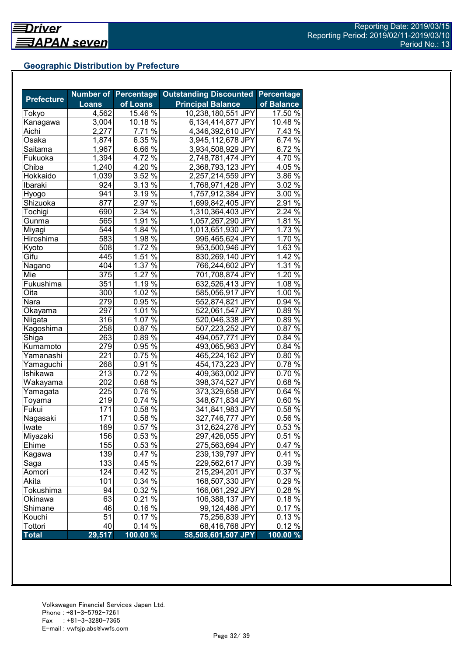## **Geographic Distribution by Prefecture**

|                   |              | <b>Number of Percentage</b>   | <b>Outstanding Discounted</b> | <b>Percentage</b>   |
|-------------------|--------------|-------------------------------|-------------------------------|---------------------|
| <b>Prefecture</b> | <b>Loans</b> | of Loans                      | <b>Principal Balance</b>      | of Balance          |
| Tokyo             | 4,562        | $15.46\%$                     | 10,238,180,551 JPY            | 17.50 %             |
| Kanagawa          | 3,004        | 10.18 %                       | 6,134,414,877 JPY             | 10.48 %             |
| Aichi             | 2,277        | 7.71 %                        | 4,346,392,610 JPY             | 7.43 %              |
| Osaka             | 1,874        | 6.35 $\sqrt{8}$               | 3,945,112,678 JPY             | 6.74 %              |
| Saitama           | 1,967        | $6.66\%$                      | 3,934,508,929 JPY             | $6.72\%$            |
| Fukuoka           | 1,394        | 4.72 $\frac{6}{6}$            | 2,748,781,474 JPY             | 4.70 $\frac{6}{6}$  |
| Chiba             | 1,240        | 4.20 $\frac{6}{6}$            | 2,368,793,123 JPY             | 4.05 $\sqrt{6}$     |
| Hokkaido          | 1,039        | $3.52\%$                      | 2,257,214,559 JPY             | $3.86\%$            |
| Ibaraki           | 924          | $3.13\%$                      | 1,768,971,428 JPY             | 3.02 %              |
| Hyogo             | 941          | 3.19 $\sqrt{8}$               | 1,757,912,384 JPY             | $3.00\,\sqrt{2}$    |
| Shizuoka          | 877          | 2.97 %                        | 1,699,842,405 JPY             | 2.91%               |
| Tochigi           | 690          | 2.34 %                        | 1,310,364,403 JPY             | 2.24%               |
| Gunma             | 565          | 1.91 %                        | 1,057,267,290 JPY             | 1.81%               |
| Miyagi            | 544          | $1.84\%$                      | 1,013,651,930 JPY             | 1.73 %              |
| Hiroshima         | 583          | 1.98 $\sqrt{8}$               | 996,465,624 JPY               | 1.70 %              |
| Kyoto             | 508          | $1.72\%$                      | 953,500,946 JPY               | 1.63 %              |
| Gifu              | 445          | $1.51\%$                      | 830,269,140 JPY               | $1.42\%$            |
| Nagano            | 404          | 1.37 $\frac{6}{6}$            | 766,244,602 JPY               | 1.31 %              |
| Mie               | 375          | 1.27 $\sqrt{2}$               | 701,708,874 JPY               | 1.20 %              |
| Fukushima         | 351          | 1.19%                         | 632,526,413 JPY               | $1.08\%$            |
| Oita              | 300          | 1.02%                         | 585,056,917 JPY               | 1.00%               |
| Nara              | 279          | $0.95\,\sqrt{6}$              | 552,874,821 JPY               | 0.94%               |
| Okayama           | 297          | 1.01%                         | 522,061,547 JPY               | $0.89\%$            |
| Niigata           | 316          | $1.07\%$                      | 520,046,338 JPY               | 0.89%               |
| Kagoshima         | 258          | 0.87%                         | 507,223,252 JPY               | $0.87\%$            |
| Shiga             | 263          | 0.89%                         | 494,057,771 JPY               | 0.84%               |
| Kumamoto          | 279          | $0.95\%$                      | 493,065,963 JPY               | 0.84 %              |
| Yamanashi         | 221          | $0.75\%$                      | 465,224,162 JPY               | $0.80\%$            |
| Yamaguchi         | 268          | 0.91%                         | 454,173,223 JPY               | $0.78\%$            |
| Ishikawa          | 213          | $0.72\%$                      | 409,363,002 JPY               | $0.70\,\sqrt[6]{ }$ |
| Wakayama          | 202          | $0.68\sqrt{6}$                | 398,374,527 JPY               | $0.68\%$            |
| Yamagata          | 225          | $0.76\,\sqrt[6]{\frac{6}{5}}$ | 373,329,658 JPY               | 0.64%               |
| Toyama            | 219          | $0.74\sqrt{26}$               | 348,671,834 JPY               | $0.60\%$            |
| Fukui             | 171          | $0.58\sqrt{6}$                | 341,841,983 JPY               | 0.58 %              |
| Nagasaki          | 171          | $0.58\%$                      | 327,746,777 JPY               | 0.56%               |
| Iwate             | 169          | 0.57%                         | 312,624,276 JPY               | 0.53%               |
| Miyazaki          | 156          | 0.53%                         | 297,426,055 JPY               | 0.51%               |
| Ehime             | 155          | 0.53 %                        | 275,563,694 JPY               | 0.47%               |
| Kagawa            | 139          | 0.47%                         | 239,139,797 JPY               | 0.41%               |
| Saga              | 133          | 0.45 %                        | 229,562,617 JPY               | 0.39 %              |
| Aomori            | 124          | 0.42%                         | 215,294,201 JPY               | 0.37 %              |
| Akita             | 101          | 0.34 %                        | 168,507,330 JPY               | 0.29%               |
| Tokushima         | 94           | 0.32 %                        | 166,061,292 JPY               | 0.28%               |
| Okinawa           | 63           | 0.21%                         | 106,388,137 JPY               | 0.18%               |
| Shimane           | 46           | $0.16\,\sqrt{2}$              | 99,124,486 JPY                | 0.17%               |
| Kouchi            | 51           | 0.17%                         | 75,256,839 JPY                | 0.13%               |
| Tottori           | 40           | 0.14%                         | 68,416,768 JPY                | 0.12%               |
| <b>Total</b>      | 29,517       | 100.00 %                      | 58,508,601,507 JPY            | $100.00\%$          |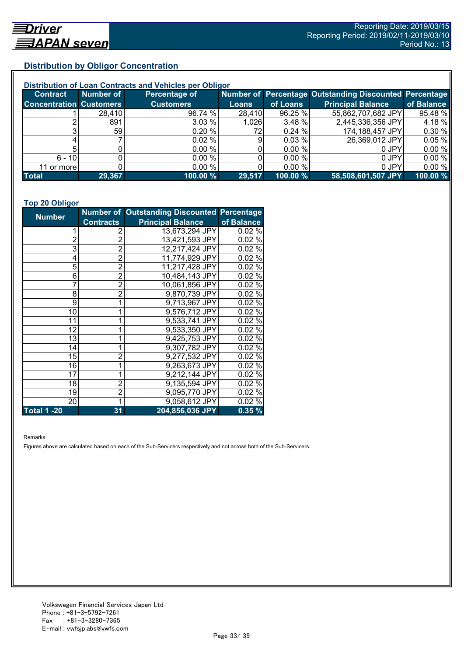## **Distribution by Obligor Concentration**

| Distribution of Loan Contracts and Vehicles per Obligor |           |                  |        |          |                                                        |            |  |
|---------------------------------------------------------|-----------|------------------|--------|----------|--------------------------------------------------------|------------|--|
| <b>Contract</b>                                         | Number of | Percentage of    |        |          | Number of Percentage Outstanding Discounted Percentage |            |  |
| <b>Concentration Customers</b>                          |           | <b>Customers</b> | Loans  | of Loans | <b>Principal Balance</b>                               | of Balance |  |
|                                                         | 28,410    | 96.74 %          | 28,410 | 96.25 %  | 55,862,707,682 JPY                                     | 95.48 %    |  |
|                                                         | 891       | 3.03 %           | 1,026  | 3.48%    | 2,445,336,356 JPY                                      | 4.18%      |  |
|                                                         | 59        | 0.20%            | 72.    | 0.24%    | 174,188,457 JPY                                        | 0.30%      |  |
|                                                         |           | 0.02%            | 9      | 0.03%    | 26,369,012 JPY                                         | 0.05%      |  |
|                                                         |           | 0.00 %           |        | 0.00 %   | 0 JPY                                                  | 0.00%      |  |
| $6 - 10$                                                |           | 0.00%            |        | 0.00 %   | 0 JPY                                                  | 0.00%      |  |
| 11 or more                                              |           | $0.00\%$         |        | 0.00 %   | 0 JPY                                                  | 0.00%      |  |
| <b>Total</b>                                            | 29,367    | 100.00 %         | 29,517 | 100.00 % | 58,508,601,507 JPY                                     | 100.00 %   |  |

#### **Top 20 Obligor**

| <b>Number</b>      |                  | <b>Number of Outstanding Discounted Percentage</b> |            |
|--------------------|------------------|----------------------------------------------------|------------|
|                    | <b>Contracts</b> | <b>Principal Balance</b>                           | of Balance |
| 1                  | 2                | 13,673,294 JPY                                     | 0.02%      |
| $\overline{2}$     | $\overline{2}$   | 13,421,593 JPY                                     | 0.02%      |
| 3                  | $\bar{2}$        | 12,217,424 JPY                                     | 0.02%      |
| 4                  | $\overline{2}$   | 11,774,929 JPY                                     | 0.02%      |
| 5                  | $\overline{2}$   | 11,217,428 JPY                                     | 0.02%      |
| 6                  | $\overline{2}$   | 10,484,143 JPY                                     | 0.02%      |
| 7                  | $\overline{2}$   | 10,061,856 JPY                                     | 0.02%      |
| 8                  | $\overline{2}$   | 9,870,739 JPY                                      | 0.02%      |
| 9                  | 1                | 9,713,967 JPY                                      | 0.02%      |
| 10                 | 1                | 9,576,712 JPY                                      | 0.02%      |
| 11                 | 1                | 9,533,741 JPY                                      | $0.02\%$   |
| 12                 |                  | 9,533,350 JPY                                      | $0.02\%$   |
| 13                 |                  | 9,425,753 JPY                                      | 0.02%      |
| 14                 |                  | 9,307,782 JPY                                      | 0.02%      |
| 15                 | $\overline{c}$   | 9,277,532 JPY                                      | 0.02%      |
| 16                 | 1                | 9,263,673 JPY                                      | 0.02%      |
| 17                 | 1                | 9,212,144 JPY                                      | 0.02%      |
| 18                 | $\overline{2}$   | 9,135,594 JPY                                      | 0.02%      |
| 19                 | $\overline{2}$   | 9,095,770 JPY                                      | 0.02%      |
| 20                 | 1                | 9,058,612 JPY                                      | 0.02%      |
| <b>Total 1 -20</b> | 31               | 204,856,036 JPY                                    | 0.35%      |

Remarks:

Figures above are calculated based on each of the Sub-Servicers respectively and not across both of the Sub-Servicers.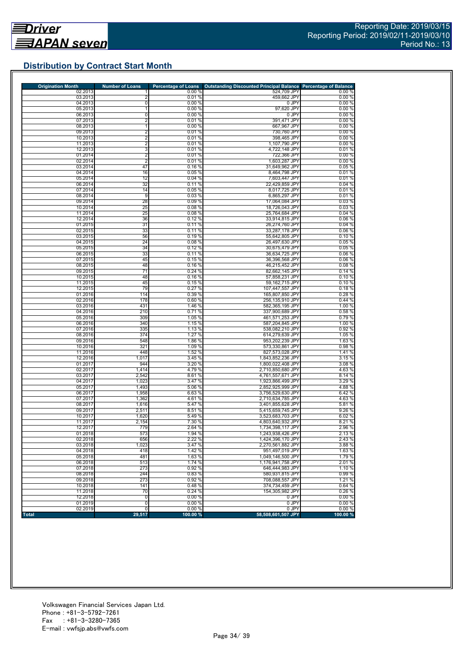## **Distribution by Contract Start Month**

| <b>Origination Month</b> | <b>Number of Loans</b> | <b>Percentage of Loans</b> | <b>Outstanding Discounted Principal Balance</b> | <b>Percentage of Balance</b> |
|--------------------------|------------------------|----------------------------|-------------------------------------------------|------------------------------|
| 02.2013                  |                        | 0.00%                      | 524,709 JPY                                     | 0.00%                        |
| 03.2013<br>04.2013       | 2<br>0                 | 0.01%<br>0.00%             | 459,662 JPY<br>0 JPY                            | 0.00%<br>0.00%               |
| 05.2013                  | 1                      | 0.00%                      | 97,620 JPY                                      | 0.00%                        |
| 06.2013                  | 0                      | 0.00%                      | 0 JPY                                           | 0.00%                        |
| 07.2013                  | $\overline{2}$         | 0.01%                      | 391,471 JPY                                     | 0.00%                        |
| 08.2013                  | 1                      | 0.00%                      | 667,967 JPY                                     | 0.00%                        |
| 09.2013                  | $\overline{2}$         | 0.01%                      | 730,760 JPY                                     | 0.00%                        |
| 10.2013                  | $\overline{2}$         | 0.01%                      | 398,465 JPY                                     | 0.00%                        |
| 11.2013                  | $\overline{2}$         | 0.01%                      | 1,107,790 JPY                                   | 0.00%                        |
| 12.2013                  | 3                      | 0.01%                      | 4,722,148 JPY                                   | 0.01%                        |
| 01.2014                  | $\overline{2}$         | 0.01%                      | 722,366 JPY                                     | 0.00%                        |
| 02.2014                  | $\overline{2}$         | 0.01%                      | 1,603,287 JPY                                   | 0.00%                        |
| 03.2014                  | 47                     | 0.16%                      | 31,649,962 JPY                                  | 0.05%                        |
| 04.2014<br>05.2014       | 16<br>12               | 0.05%<br>0.04%             | 8,464,798 JPY<br>7,603,447 JPY                  | 0.01%<br>0.01%               |
| 06.2014                  | 32                     | 0.11%                      | 22,429,859 JPY                                  | 0.04%                        |
| 07.2014                  | 14                     | 0.05%                      | 8,017,725 JPY                                   | 0.01%                        |
| 08.2014                  | 9                      | 0.03%                      | 6,865,297 JPY                                   | 0.01%                        |
| 09.2014                  | 28                     | 0.09%                      | 17,064,084 JPY                                  | 0.03%                        |
| 10.2014                  | 25                     | 0.08%                      | 18,726,043 JPY                                  | 0.03%                        |
| 11.2014                  | 25                     | 0.08%                      | 25,764,684 JPY                                  | 0.04%                        |
| 12.2014                  | 36                     | 0.12%                      | 33,914,815 JPY                                  | 0.06%                        |
| 01.2015                  | 31                     | 0.11%                      | 26,274,760 JPY                                  | 0.04%                        |
| 02.2015                  | 33                     | 0.11%                      | 33,287,178 JPY                                  | 0.06%                        |
| 03.2015                  | 56                     | 0.19%                      | 55,642,805 JPY                                  | 0.10%                        |
| 04.2015                  | 24                     | 0.08%                      | 26.497.630 JPY                                  | 0.05%                        |
| 05.2015                  | 34                     | 0.12%                      | 30,675,479 JPY                                  | 0.05%                        |
| 06.2015                  | 33                     | 0.11%                      | 36.634.725 JPY                                  | 0.06%                        |
| 07.2015                  | 45                     | 0.15%                      | 36,396,568 JPY                                  | 0.06%                        |
| 08.2015                  | 48                     | 0.16%                      | 46.215.452 JPY                                  | 0.08%                        |
| 09.2015                  | 71                     | 0.24%                      | 82,662,145 JPY                                  | 0.14%                        |
| 10.2015<br>11.2015       | 48<br>45               | 0.16%<br>0.15%             | 57,858,231 JPY<br>59,162,715 JPY                | 0.10%<br>0.10%               |
| 12.2015                  | 79                     | 0.27%                      | 107,447,557 JPY                                 | 0.18%                        |
| 01.2016                  | 114                    | 0.39 %                     | 165,807,850 JPY                                 | 0.28%                        |
| 02.2016                  | 178                    | 0.60%                      | 256,135,910 JPY                                 | 0.44%                        |
| 03.2016                  | 431                    | 1.46 %                     | 582,365,195 JPY                                 | 1.00 %                       |
| 04.2016                  | 210                    | 0.71%                      | 337,900,689 JPY                                 | 0.58%                        |
| 05.2016                  | 309                    | 1.05 %                     | 461,571,253 JPY                                 | 0.79%                        |
| 06.2016                  | 340                    | 1.15 %                     | 587,204,845 JPY                                 | 1.00 %                       |
| 07.2016                  | 335                    | 1.13 %                     | 538,082,210 JPY                                 | 0.92%                        |
| 08.2016                  | 374                    | 1.27 %                     | 614,279,639 JPY                                 | 1.05 %                       |
| 09.2016                  | 548                    | 1.86 %                     | 953,202,239 JPY                                 | 1.63%                        |
| 10.2016                  | 321                    | 1.09 %                     | 573,330,861 JPY                                 | 0.98%                        |
| 11.2016                  | 448                    | 1.52 %                     | 827,573,028 JPY                                 | 1.41 %                       |
| 12.2016                  | 1,017                  | 3.45 %                     | 1,843,852,236 JPY                               | 3.15%                        |
| 01.2017                  | 944                    | 3.20 %                     | 1,800,022,408 JPY                               | 3.08 %                       |
| 02.2017                  | 1,414                  | 4.79 %                     | 2,710,850,680 JPY                               | 4.63%                        |
| 03.2017<br>04.2017       | 2,542<br>1,023         | 8.61%<br>3.47 %            | 4,761,557,671 JPY<br>1,923,866,499 JPY          | 8.14 %<br>3.29 %             |
| 05.2017                  | 1,493                  | 5.06 %                     | 2,852,925,999 JPY                               | 4.88%                        |
| 06.2017                  | 1,958                  | 6.63%                      | 3,756,529,630 JPY                               | 6.42%                        |
| 07.2017                  | 1,362                  | 4.61 %                     | 2,710,634,785 JPY                               | 4.63%                        |
| 08.2017                  | 1,616                  | 5.47 %                     | 3,401,855,628 JPY                               | 5.81%                        |
| 09.2017                  | 2,511                  | 8.51 %                     | 5.415.659.745 JPY                               | 9.26 %                       |
| 10.2017                  | 1,620                  | 5.49 %                     | 3,523,683,703 JPY                               | 6.02%                        |
| 11.2017                  | 2,154                  | 7.30 %                     | 4,803,640,932 JPY                               | 8.21 %                       |
| 12.2017                  | 779                    | 2.64 %                     | 1,734,398,117 JPY                               | 2.96 %                       |
| 01.2018                  | 573                    | 1.94 %                     | 1,243,938,426 JPY                               | $2.13\%$                     |
| 02.2018                  | 656                    | 2.22 %                     | 1,424,396,170 JPY                               | 2.43 %                       |
| 03.2018                  | 1,023                  | 3.47 %                     | 2,270,561,882 JPY                               | 3.88 %                       |
| 04.2018                  | 418                    | 1.42 %                     | 951,497,019 JPY                                 | 1.63%                        |
| 05.2018                  | 481                    | 1.63%                      | 1,049,146,500 JPY                               | 1.79%                        |
| 06.2018                  | 513                    | 1.74 %                     | 1.176.941.758 JPY                               | 2.01%                        |
| 07.2018                  | 273                    | 0.92%                      | 646.444.983 JPY                                 | 1.10 %                       |
| 08.2018                  | 244                    | 0.83%                      | 580,931,815 JPY                                 | 0.99%                        |
| 09.2018                  | 273                    | 0.92%                      | 708,088,557 JPY                                 | 1.21%                        |
| 10.2018                  | 141                    | 0.48%                      | 374,734,459 JPY<br>154.305.982 JPY              | 0.64 %                       |
| 11.2018                  | 70<br>0                | 0.24%<br>0.00%             | 0 JPY                                           | 0.26%<br>0.00%               |
| 12.2018<br>01.2019       | 0                      | 0.00%                      | 0 JPY                                           | 0.00%                        |
|                          | 0                      | 0.00%                      | 0 JPY                                           | 0.00%                        |
| 02.2019                  |                        |                            |                                                 |                              |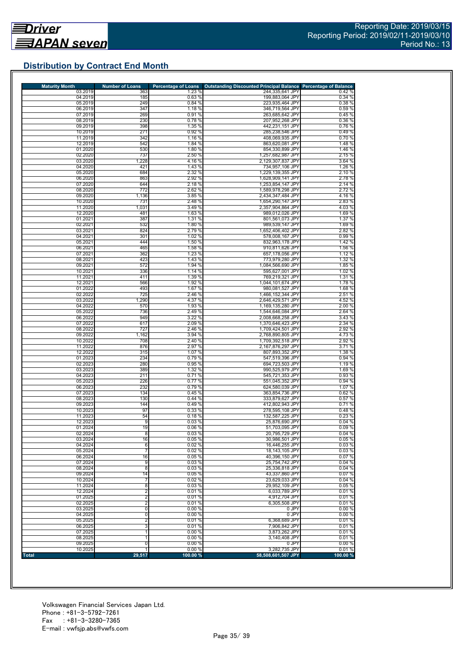## **Distribution by Contract End Month**

| <b>Maturity Month</b> | <b>Number of Loans</b>       | <b>Percentage of Loans</b> | <b>Outstanding Discounted Principal Balance Percentage of Balance</b> |                  |
|-----------------------|------------------------------|----------------------------|-----------------------------------------------------------------------|------------------|
| 03.2019               | 363                          | 1.23 %                     | 244,335,641 JPY                                                       | 0.42%            |
| 04.2019<br>05.2019    | 185<br>249                   | 0.63%<br>0.84%             | 199,883,064 JPY<br>223,935,464 JPY                                    | 0.34%<br>0.38 %  |
| 06.2019               | 347                          | 1.18 %                     | 346,719,564 JPY                                                       | 0.59%            |
| 07.2019               | 269                          | 0.91%                      | 263,685,642 JPY                                                       | 0.45 %           |
| 08.2019               | 230                          | 0.78%                      | 207.952.268 JPY                                                       | 0.36 %           |
| 09.2019               | 398                          | 1.35 %                     | 442,231,151 JPY                                                       | 0.76%            |
| 10.2019               | 271                          | 0.92%                      | 285,238,546 JPY                                                       | 0.49%            |
| 11.2019<br>12.2019    | 342<br>542                   | 1.16 %<br>1.84 %           | 408,069,935 JPY<br>863,620,081 JPY                                    | 0.70%<br>1.48%   |
| 01.2020               | 530                          | 1.80 %                     | 854,330,899 JPY                                                       | 1.46 %           |
| 02.2020               | 737                          | 2.50 %                     | 1,257,682,987 JPY                                                     | 2.15 %           |
| 03.2020               | 1,228                        | 4.16 %                     | 2,129,307,837 JPY                                                     | 3.64 %           |
| 04.2020               | 421                          | 1.43 %                     | 734,957,106 JPY                                                       | 1.26 %           |
| 05.2020               | 684                          | 2.32 %                     | 1,229,139,355 JPY                                                     | 2.10 %           |
| 06.2020<br>07.2020    | 863<br>644                   | 2.92 %<br>2.18 %           | 1,628,909,141 JPY                                                     | 2.78 %           |
| 08.2020               | 772                          | 2.62 %                     | 1,253,854,147 JPY<br>1.589.978.298 JPY                                | 2.14 %<br>2.72 % |
| 09.2020               | 1,136                        | 3.85 %                     | 2,434,347,484 JPY                                                     | 4.16%            |
| 10.2020               | 731                          | 2.48 %                     | 1,654,290,147 JPY                                                     | 2.83%            |
| 11.2020               | 1,031                        | 3.49 %                     | 2,357,904,864 JPY                                                     | 4.03%            |
| 12.2020               | 481                          | 1.63 %                     | 989,012,026 JPY                                                       | 1.69%            |
| 01.2021               | 387                          | 1.31 %                     | 801,561,073 JPY                                                       | 1.37 %           |
| 02.2021               | 532                          | 1.80 %                     | 989,539,147 JPY                                                       | 1.69%            |
| 03.2021<br>04.2021    | 824<br>301                   | 2.79 %<br>1.02 %           | 1,652,406,402 JPY<br>578,008,167 JPY                                  | 2.82 %<br>0.99%  |
| 05.2021               | 444                          | 1.50 %                     | 832,963,178 JPY                                                       | 1.42 %           |
| 06.2021               | 465                          | 1.58 %                     | 910,811,626 JPY                                                       | 1.56 %           |
| 07.2021               | 362                          | 1.23 %                     | 657,178,056 JPY                                                       | 1.12%            |
| 08.2021               | 423                          | 1.43 %                     | 773,979,280 JPY                                                       | 1.32 %           |
| 09.2021               | 572                          | 1.94 %                     | 1,084,566,690 JPY                                                     | 1.85 %           |
| 10.2021               | 336                          | 1.14%                      | 595,627,001 JPY                                                       | 1.02 %           |
| 11.2021<br>12.2021    | 411<br>566                   | 1.39 %<br>1.92 %           | 769,219,321 JPY<br>1,044,101,674 JPY                                  | 1.31 %<br>1.78 % |
| 01.2022               | 493                          | 1.67 %                     | 980,081,527 JPY                                                       | 1.68 %           |
| 02.2022               | 725                          | 2.46 %                     | 1,466,152,344 JPY                                                     | 2.51 %           |
| 03.2022               | 1,290                        | 4.37 %                     | 2,646,429,571 JPY                                                     | 4.52 %           |
| 04.2022               | 570                          | 1.93 %                     | 1,169,135,280 JPY                                                     | 2.00 %           |
| 05.2022               | 736                          | 2.49 %                     | 1,544,646,084 JPY                                                     | 2.64 %           |
| 06.2022               | 949                          | 3.22 %                     | 2,008,668,258 JPY                                                     | 3.43%            |
| 07.2022               | 617                          | 2.09 %                     | 1,370,646,423 JPY                                                     | 2.34 %           |
| 08.2022<br>09.2022    | 727<br>1,162                 | 2.46 %<br>3.94 %           | 1,709,424,501 JPY<br>2,768,890,805 JPY                                | 2.92 %<br>4.73 % |
| 10.2022               | 708                          | 2.40 %                     | 1,709,392,518 JPY                                                     | 2.92 %           |
| 11.2022               | 876                          | 2.97 %                     | 2,167,876,297 JPY                                                     | 3.71 %           |
| 12.2022               | 315                          | 1.07 %                     | 807,893,352 JPY                                                       | 1.38 %           |
| 01.2023               | 234                          | 0.79%                      | 547,519,396 JPY                                                       | 0.94%            |
| 02.2023               | 280                          | 0.95 %                     | 694,723,503 JPY                                                       | 1.19%            |
| 03.2023<br>04.2023    | 389<br>211                   | 1.32 %<br>0.71%            | 990,525,979 JPY<br>545,721,353 JPY                                    | 1.69%<br>0.93%   |
| 05.2023               | 226                          | 0.77%                      | 551,045,352 JPY                                                       | 0.94 %           |
| 06.2023               | 232                          | 0.79%                      | 624,580,039 JPY                                                       | 1.07 %           |
| 07.2023               | 134                          | 0.45%                      | 363,854,736 JPY                                                       | 0.62%            |
| 08.2023               | 130                          | 0.44%                      | 333,879,627 JPY                                                       | 0.57%            |
| 09.2023               | 144                          | 0.49%                      | 412,802,943 JPY                                                       | 0.71%            |
| 10.2023               | 97                           | 0.33 %                     | 278.595.108 JPY                                                       | 0.48%            |
| 11.2023<br>12.2023    | 54<br>9                      | 0.18%<br>0.03%             | 132,587,225 JPY<br>25,876,690 JPY                                     | 0.23%<br>0.04%   |
| 01.2024               | 19                           | 0.06%                      | 51,703,095 JPY                                                        | 0.09%            |
| 02.2024               | 8                            | 0.03%                      | 20,795,729 JPY                                                        | 0.04%            |
| 03.2024               | 16                           | 0.05%                      | 30,986,501 JPY                                                        | 0.05%            |
| 04.2024               | 6                            | 0.02%                      | 16,446,255 JPY                                                        | 0.03%            |
| 05.2024               | $\overline{7}$               | 0.02%                      | 18.143,105 JPY                                                        | 0.03%            |
| 06.2024               | 16                           | 0.05%                      | 40,396,150 JPY                                                        | 0.07%            |
| 07.2024<br>08.2024    | 9<br>$\overline{8}$          | 0.03%<br>0.03%             | 25,754,742 JPY<br>25,336,818 JPY                                      | 0.04%<br>0.04%   |
| 09.2024               | 14                           | 0.05%                      | 43,337,860 JPY                                                        | 0.07%            |
| 10.2024               | $\overline{7}$               | 0.02%                      | 23,629,033 JPY                                                        | 0.04%            |
| 11.2024               | 8                            | 0.03%                      | 29,952,109 JPY                                                        | 0.05%            |
| 12.2024               | $\overline{2}$               | 0.01%                      | 6.033.789 JPY                                                         | 0.01%            |
| 01.2025               | $\overline{2}$               | 0.01%                      | 4,912,704 JPY                                                         | 0.01%            |
| 02.2025               | 2                            | 0.01%                      | 6,305,508 JPY                                                         | 0.01%            |
| 03.2025               | 0                            | 0.00%                      | 0 JPY                                                                 | 0.00%            |
| 04.2025<br>05.2025    | 0<br>$\overline{\mathbf{c}}$ | 0.00%<br>0.01%             | 0 JPY<br>6,368,689 JPY                                                | 0.00%<br>0.01%   |
| 06.2025               | 3                            | 0.01%                      | 7,906,842 JPY                                                         | 0.01%            |
| 07.2025               | 1                            | 0.00%                      | 3,873,262 JPY                                                         | 0.01%            |
| 08.2025               |                              | 0.00%                      | 3,140,408 JPY                                                         | 0.01%            |
| 09.2025               | 0                            | 0.00%                      | 0 JPY                                                                 | 0.00%            |
| 10.2025               |                              | 0.00%                      | 3,282,735 JPY                                                         | 0.01%            |
| <b>Total</b>          | 29,517                       | 100.00 %                   | 58,508,601,507 JPY                                                    | 100.00 %         |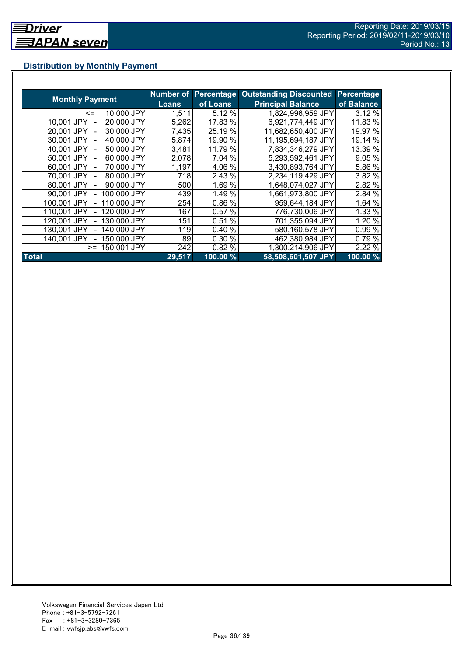## **Distribution by Monthly Payment**

|                            |              | <b>Number of Percentage</b> | <b>Outstanding Discounted</b> | <b>Percentage</b> |
|----------------------------|--------------|-----------------------------|-------------------------------|-------------------|
| <b>Monthly Payment</b>     | <b>Loans</b> | of Loans                    | <b>Principal Balance</b>      | of Balance        |
| 10,000 JPY<br><=           | 1,511        | 5.12 %                      | 1,824,996,959 JPY             | 3.12 %            |
| 20,000 JPY<br>10.001 JPY   | 5,262        | 17.83 %                     | 6,921,774,449 JPY             | 11.83 %           |
| 30,000 JPY<br>20.001 JPY   | 7,435        | 25.19 %                     | 11,682,650,400 JPY            | 19.97 %           |
| 40,000 JPY<br>30,001 JPY   | 5,874        | 19.90 %                     | 11,195,694,187 JPY            | 19.14 %           |
| 50,000 JPY<br>40,001 JPY   | 3,481        | 11.79 %                     | 7,834,346,279 JPY             | 13.39 %           |
| 60,000 JPY<br>50,001 JPY   | 2,078        | 7.04 %                      | 5,293,592,461 JPY             | 9.05 %            |
| 70,000 JPY<br>60.001 JPY   | 1,197        | 4.06 %                      | 3,430,893,764 JPY             | 5.86 %            |
| 80,000 JPY<br>70.001 JPY   | 718          | 2.43 %                      | 2,234,119,429 JPY             | 3.82 %            |
| 90,000 JPY<br>80,001 JPY   | 500          | 1.69 %                      | 1,648,074,027 JPY             | 2.82 %            |
| 100,000 JPY<br>90.001 JPY  | 439          | 1.49 %                      | 1,661,973,800 JPY             | 2.84 %            |
| 110,000 JPY<br>100,001 JPY | 254          | 0.86 %                      | 959,644,184 JPY               | 1.64 %            |
| 120,000 JPY<br>110,001 JPY | 167          | 0.57%                       | 776,730,006 JPY               | 1.33 %            |
| 130,000 JPY<br>120.001 JPY | 151          | 0.51%                       | 701,355,094 JPY               | 1.20 %            |
| 140,000 JPY<br>130.001 JPY | 119          | 0.40%                       | 580,160,578 JPY               | 0.99 %            |
| 150,000 JPY<br>140.001 JPY | 89           | 0.30 %                      | 462,380,984 JPY               | 0.79%             |
| 150,001 JPY<br>$>=$        | 242          | 0.82 %                      | 1,300,214,906 JPY             | 2.22 %            |
| <b>Total</b>               | 29,517       | 100.00 %                    | 58,508,601,507 JPY            | 100.00%           |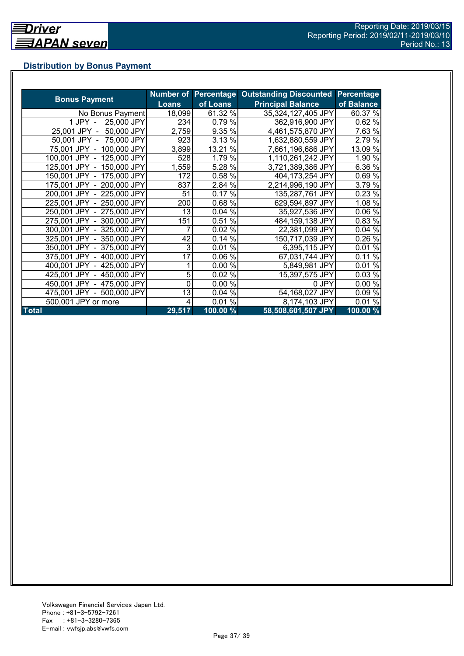## **Distribution by Bonus Payment**

|                            |              |          | Number of Percentage Outstanding Discounted | Percentage |
|----------------------------|--------------|----------|---------------------------------------------|------------|
| <b>Bonus Payment</b>       | <b>Loans</b> | of Loans | <b>Principal Balance</b>                    | of Balance |
| No Bonus Payment           | 18,099       | 61.32 %  | 35,324,127,405 JPY                          | 60.37 %    |
| 25,000 JPY<br>1 JPY -      | 234          | 0.79 %   | 362,916,900 JPY                             | 0.62%      |
| 25,001 JPY -<br>50,000 JPY | 2,759        | 9.35 %   | 4,461,575,870 JPY                           | 7.63 %     |
| 50,001 JPY - 75,000 JPY    | 923          | 3.13 %   | 1,632,880,559 JPY                           | 2.79 %     |
| 75,001 JPY - 100,000 JPY   | 3,899        | 13.21 %  | 7,661,196,686 JPY                           | 13.09 %    |
| 100,001 JPY - 125,000 JPY  | 528          | 1.79 %   | 1,110,261,242 JPY                           | 1.90 %     |
| 125,001 JPY - 150,000 JPY  | 1,559        | 5.28 %   | 3,721,389,386 JPY                           | 6.36 %     |
| 150,001 JPY - 175,000 JPY  | 172          | 0.58 %   | 404,173,254 JPY                             | 0.69%      |
| 175,001 JPY - 200,000 JPY  | 837          | 2.84 %   | 2,214,996,190 JPY                           | 3.79 %     |
| 200,001 JPY - 225,000 JPY  | 51           | 0.17%    | 135,287,761 JPY                             | 0.23 %     |
| 225,001 JPY - 250,000 JPY  | 200          | 0.68%    | 629,594,897 JPY                             | 1.08 %     |
| 250,001 JPY - 275,000 JPY  | 13           | 0.04%    | 35,927,536 JPY                              | 0.06 %     |
| 275,001 JPY - 300,000 JPY  | 151          | 0.51%    | 484,159,138 JPY                             | 0.83 %     |
| 300,001 JPY - 325,000 JPY  |              | 0.02 %   | 22,381,099 JPY                              | 0.04%      |
| 325,001 JPY - 350,000 JPY  | 42           | 0.14%    | 150,717,039 JPY                             | 0.26 %     |
| 350,001 JPY - 375,000 JPY  | 3            | 0.01%    | 6,395,115 JPY                               | 0.01%      |
| 375,001 JPY - 400,000 JPY  | 17           | 0.06%    | 67,031,744 JPY                              | 0.11%      |
| 400,001 JPY - 425,000 JPY  |              | 0.00%    | 5,849,981 JPY                               | 0.01%      |
| 425,001 JPY - 450,000 JPY  | 5            | 0.02%    | 15,397,575 JPY                              | 0.03%      |
| 450,001 JPY - 475,000 JPY  | 0            | 0.00 %   | 0 JPY                                       | 0.00%      |
| 475,001 JPY - 500,000 JPY  | 13           | 0.04%    | 54,168,027 JPY                              | 0.09 %     |
| 500,001 JPY or more        | 4            | $0.01\%$ | 8,174,103 JPY                               | 0.01%      |
| <b>Total</b>               | 29,517       | 100.00 % | 58,508,601,507 JPY                          | 100.00 %   |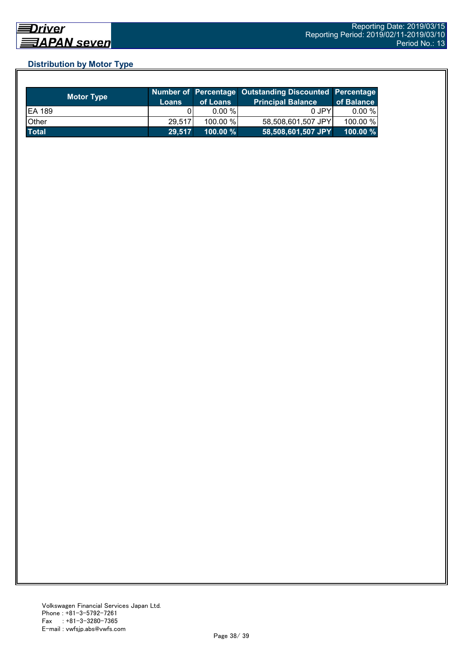## **Distribution by Motor Type**

| <b>Motor Type</b> | <b>Loans</b> | of Loans    | Number of Percentage Outstanding Discounted Percentage<br><b>Principal Balance</b> | of Balance  |
|-------------------|--------------|-------------|------------------------------------------------------------------------------------|-------------|
| <b>EA 189</b>     |              | 0.00 %      | 0 JPY                                                                              | $0.00 \%$   |
| Other             | 29,517       | 100.00 %    | 58,508,601,507 JPY                                                                 | 100.00 %    |
| <b>Total</b>      | 29,517       | $100.00 \%$ | 58,508,601,507 JPY                                                                 | $100.00 \%$ |